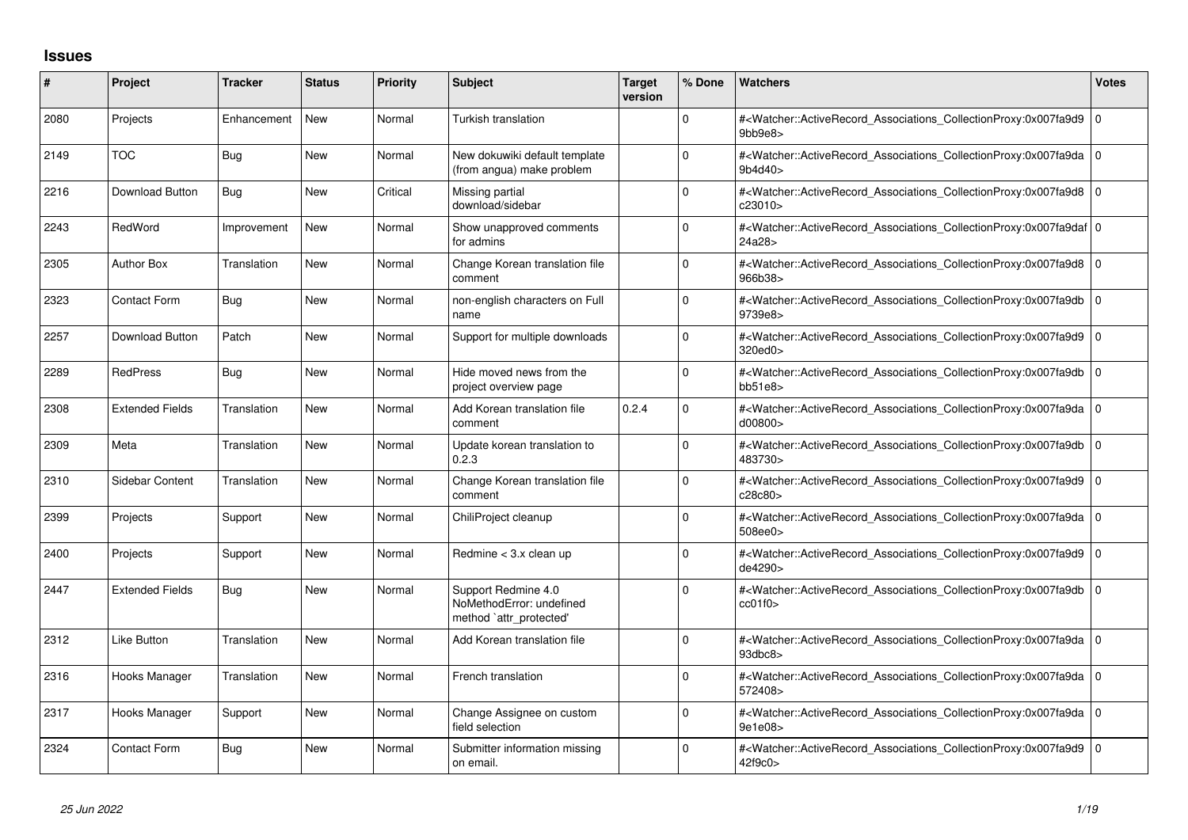## **Issues**

| #    | Project                | <b>Tracker</b> | <b>Status</b> | <b>Priority</b> | <b>Subject</b>                                                             | <b>Target</b><br>version | % Done       | <b>Watchers</b>                                                                                                                                          | <b>Votes</b> |
|------|------------------------|----------------|---------------|-----------------|----------------------------------------------------------------------------|--------------------------|--------------|----------------------------------------------------------------------------------------------------------------------------------------------------------|--------------|
| 2080 | Projects               | Enhancement    | <b>New</b>    | Normal          | Turkish translation                                                        |                          | $\Omega$     | # <watcher::activerecord_associations_collectionproxy:0x007fa9d9 0<br="">9bb9e8</watcher::activerecord_associations_collectionproxy:0x007fa9d9>          |              |
| 2149 | <b>TOC</b>             | <b>Bug</b>     | <b>New</b>    | Normal          | New dokuwiki default template<br>(from angua) make problem                 |                          | $\Omega$     | # <watcher::activerecord 0<br="" associations="" collectionproxy:0x007fa9da=""  ="">9b4d40&gt;</watcher::activerecord>                                   |              |
| 2216 | <b>Download Button</b> | Bug            | <b>New</b>    | Critical        | Missing partial<br>download/sidebar                                        |                          | <sup>0</sup> | # <watcher::activerecord_associations_collectionproxy:0x007fa9d8 0<br=""  ="">c23010&gt;</watcher::activerecord_associations_collectionproxy:0x007fa9d8> |              |
| 2243 | RedWord                | Improvement    | <b>New</b>    | Normal          | Show unapproved comments<br>for admins                                     |                          | $\Omega$     | # <watcher::activerecord 0<br="" associations="" collectionproxy:0x007fa9daf=""  ="">24a28&gt;</watcher::activerecord>                                   |              |
| 2305 | <b>Author Box</b>      | Translation    | <b>New</b>    | Normal          | Change Korean translation file<br>comment                                  |                          | $\Omega$     | # <watcher::activerecord_associations_collectionproxy:0x007fa9d8 0<br=""  ="">966b38&gt;</watcher::activerecord_associations_collectionproxy:0x007fa9d8> |              |
| 2323 | <b>Contact Form</b>    | <b>Bug</b>     | <b>New</b>    | Normal          | non-english characters on Full<br>name                                     |                          | 0            | # <watcher::activerecord 0<br="" associations="" collectionproxy:0x007fa9db=""  ="">9739e8&gt;</watcher::activerecord>                                   |              |
| 2257 | Download Button        | Patch          | <b>New</b>    | Normal          | Support for multiple downloads                                             |                          | 0            | # <watcher::activerecord 0<br="" associations="" collectionproxy:0x007fa9d9=""  ="">320ed0&gt;</watcher::activerecord>                                   |              |
| 2289 | <b>RedPress</b>        | Bug            | <b>New</b>    | Normal          | Hide moved news from the<br>project overview page                          |                          | $\Omega$     | # <watcher::activerecord_associations_collectionproxy:0x007fa9db 0<br="">bb51e8</watcher::activerecord_associations_collectionproxy:0x007fa9db>          |              |
| 2308 | <b>Extended Fields</b> | Translation    | <b>New</b>    | Normal          | Add Korean translation file<br>comment                                     | 0.2.4                    | <sup>0</sup> | # <watcher::activerecord_associations_collectionproxy:0x007fa9da 0<br="">d00800</watcher::activerecord_associations_collectionproxy:0x007fa9da>          |              |
| 2309 | Meta                   | Translation    | <b>New</b>    | Normal          | Update korean translation to<br>0.2.3                                      |                          | $\Omega$     | # <watcher::activerecord 0<br="" associations="" collectionproxy:0x007fa9db=""  ="">483730&gt;</watcher::activerecord>                                   |              |
| 2310 | Sidebar Content        | Translation    | <b>New</b>    | Normal          | Change Korean translation file<br>comment                                  |                          | $\Omega$     | # <watcher::activerecord 0<br="" associations="" collectionproxy:0x007fa9d9=""  ="">c28c80&gt;</watcher::activerecord>                                   |              |
| 2399 | Projects               | Support        | <b>New</b>    | Normal          | ChiliProject cleanup                                                       |                          | $\Omega$     | # <watcher::activerecord_associations_collectionproxy:0x007fa9da 0<br=""  ="">508ee0&gt;</watcher::activerecord_associations_collectionproxy:0x007fa9da> |              |
| 2400 | Projects               | Support        | <b>New</b>    | Normal          | Redmine < 3.x clean up                                                     |                          | 0            | # <watcher::activerecord_associations_collectionproxy:0x007fa9d9<br>de4290&gt;</watcher::activerecord_associations_collectionproxy:0x007fa9d9<br>        | I٥           |
| 2447 | <b>Extended Fields</b> | Bug            | <b>New</b>    | Normal          | Support Redmine 4.0<br>NoMethodError: undefined<br>method `attr_protected' |                          | 0            | # <watcher::activerecord_associations_collectionproxy:0x007fa9db 0<br=""  ="">cc01f0</watcher::activerecord_associations_collectionproxy:0x007fa9db>     |              |
| 2312 | Like Button            | Translation    | <b>New</b>    | Normal          | Add Korean translation file                                                |                          | $\Omega$     | # <watcher::activerecord 0<br="" associations="" collectionproxy:0x007fa9da=""  =""><math>93</math>dbc<math>8</math></watcher::activerecord>             |              |
| 2316 | Hooks Manager          | Translation    | <b>New</b>    | Normal          | French translation                                                         |                          | $\Omega$     | # <watcher::activerecord_associations_collectionproxy:0x007fa9da 0<br="">572408&gt;</watcher::activerecord_associations_collectionproxy:0x007fa9da>      |              |
| 2317 | Hooks Manager          | Support        | <b>New</b>    | Normal          | Change Assignee on custom<br>field selection                               |                          | 0            | # <watcher::activerecord 0<br="" associations="" collectionproxy:0x007fa9da=""  ="">9e1e08&gt;</watcher::activerecord>                                   |              |
| 2324 | <b>Contact Form</b>    | Bug            | <b>New</b>    | Normal          | Submitter information missing<br>on email.                                 |                          | 0            | # <watcher::activerecord_associations_collectionproxy:0x007fa9d9 0<br="">42f9c0&gt;</watcher::activerecord_associations_collectionproxy:0x007fa9d9>      |              |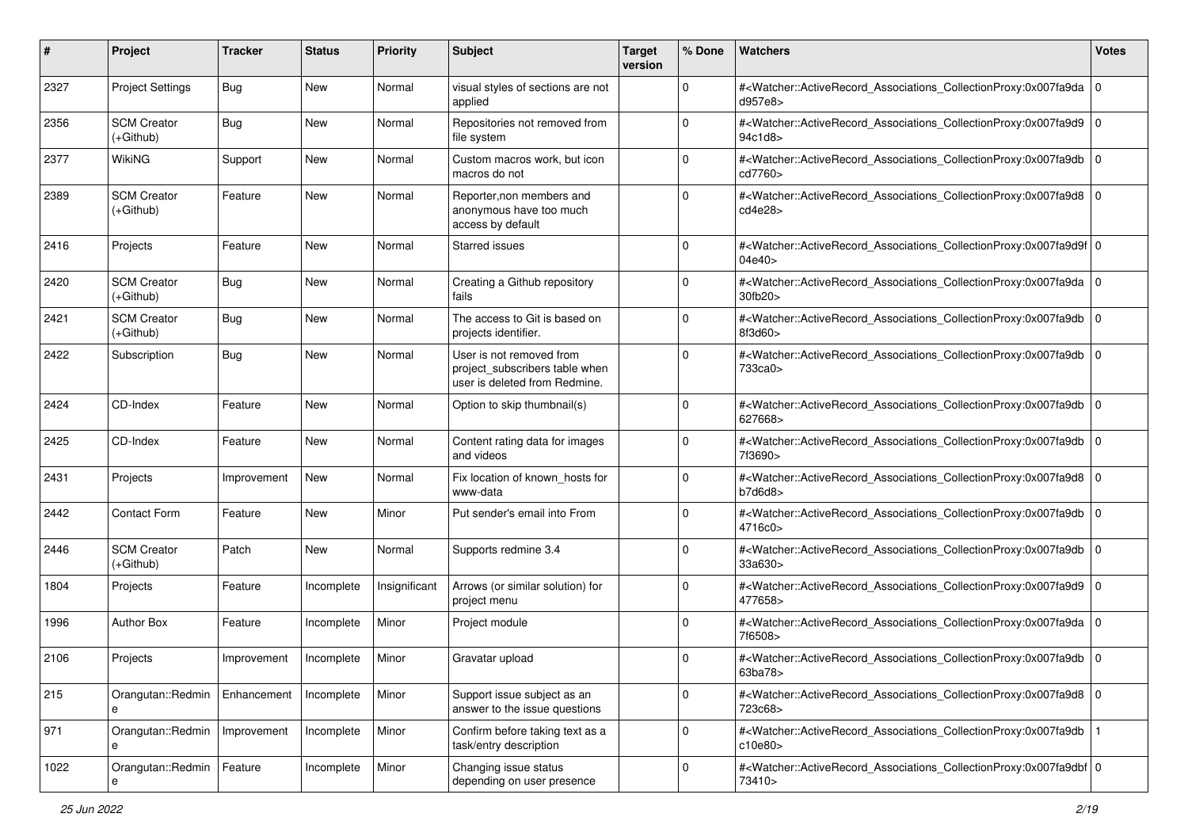| #    | Project                           | <b>Tracker</b> | <b>Status</b> | <b>Priority</b> | <b>Subject</b>                                                                              | <b>Target</b><br>version | % Done      | <b>Watchers</b>                                                                                                                                          | <b>Votes</b> |
|------|-----------------------------------|----------------|---------------|-----------------|---------------------------------------------------------------------------------------------|--------------------------|-------------|----------------------------------------------------------------------------------------------------------------------------------------------------------|--------------|
| 2327 | <b>Project Settings</b>           | Bug            | New           | Normal          | visual styles of sections are not<br>applied                                                |                          | 0           | # <watcher::activerecord_associations_collectionproxy:0x007fa9da 0<br=""  ="">d957e8&gt;</watcher::activerecord_associations_collectionproxy:0x007fa9da> |              |
| 2356 | <b>SCM Creator</b><br>$(+Github)$ | Bug            | New           | Normal          | Repositories not removed from<br>file system                                                |                          | $\Omega$    | # <watcher::activerecord_associations_collectionproxy:0x007fa9d9 0<br=""  ="">94c1d8&gt;</watcher::activerecord_associations_collectionproxy:0x007fa9d9> |              |
| 2377 | WikiNG                            | Support        | New           | Normal          | Custom macros work, but icon<br>macros do not                                               |                          | 0           | # <watcher::activerecord_associations_collectionproxy:0x007fa9db 0<br=""  ="">cd7760&gt;</watcher::activerecord_associations_collectionproxy:0x007fa9db> |              |
| 2389 | <b>SCM Creator</b><br>(+Github)   | Feature        | <b>New</b>    | Normal          | Reporter, non members and<br>anonymous have too much<br>access by default                   |                          | $\Omega$    | # <watcher::activerecord_associations_collectionproxy:0x007fa9d8 0<br=""  ="">cd4e28&gt;</watcher::activerecord_associations_collectionproxy:0x007fa9d8> |              |
| 2416 | Projects                          | Feature        | <b>New</b>    | Normal          | <b>Starred issues</b>                                                                       |                          | $\Omega$    | # <watcher::activerecord_associations_collectionproxy:0x007fa9d9f 0<br="">04e40&gt;</watcher::activerecord_associations_collectionproxy:0x007fa9d9f>     |              |
| 2420 | <b>SCM Creator</b><br>$(+Github)$ | Bug            | New           | Normal          | Creating a Github repository<br>fails                                                       |                          | $\Omega$    | # <watcher::activerecord_associations_collectionproxy:0x007fa9da 0<br=""  ="">30fb20&gt;</watcher::activerecord_associations_collectionproxy:0x007fa9da> |              |
| 2421 | <b>SCM Creator</b><br>(+Github)   | Bug            | New           | Normal          | The access to Git is based on<br>projects identifier.                                       |                          | $\Omega$    | # <watcher::activerecord_associations_collectionproxy:0x007fa9db<br>8f3d60&gt;</watcher::activerecord_associations_collectionproxy:0x007fa9db<br>        | $\mathbf 0$  |
| 2422 | Subscription                      | Bug            | New           | Normal          | User is not removed from<br>project_subscribers table when<br>user is deleted from Redmine. |                          | $\Omega$    | # <watcher::activerecord associations="" collectionproxy:0x007fa9db<br="">733ca0&gt;</watcher::activerecord>                                             | $\mathbf 0$  |
| 2424 | CD-Index                          | Feature        | <b>New</b>    | Normal          | Option to skip thumbnail(s)                                                                 |                          | $\Omega$    | # <watcher::activerecord_associations_collectionproxy:0x007fa9db<br>627668&gt;</watcher::activerecord_associations_collectionproxy:0x007fa9db<br>        | l o          |
| 2425 | CD-Index                          | Feature        | New           | Normal          | Content rating data for images<br>and videos                                                |                          | $\mathbf 0$ | # <watcher::activerecord_associations_collectionproxy:0x007fa9db<br>7f3690&gt;</watcher::activerecord_associations_collectionproxy:0x007fa9db<br>        | $\mathbf 0$  |
| 2431 | Projects                          | Improvement    | <b>New</b>    | Normal          | Fix location of known_hosts for<br>www-data                                                 |                          | $\Omega$    | # <watcher::activerecord_associations_collectionproxy:0x007fa9d8 0<br=""  ="">b7d6d8</watcher::activerecord_associations_collectionproxy:0x007fa9d8>     |              |
| 2442 | <b>Contact Form</b>               | Feature        | <b>New</b>    | Minor           | Put sender's email into From                                                                |                          | $\Omega$    | # <watcher::activerecord_associations_collectionproxy:0x007fa9db 0<br=""  ="">4716c0&gt;</watcher::activerecord_associations_collectionproxy:0x007fa9db> |              |
| 2446 | <b>SCM Creator</b><br>(+Github)   | Patch          | <b>New</b>    | Normal          | Supports redmine 3.4                                                                        |                          | $\Omega$    | # <watcher::activerecord_associations_collectionproxy:0x007fa9db<br>33a630&gt;</watcher::activerecord_associations_collectionproxy:0x007fa9db<br>        | ۱٥           |
| 1804 | Projects                          | Feature        | Incomplete    | Insignificant   | Arrows (or similar solution) for<br>project menu                                            |                          | $\mathbf 0$ | # <watcher::activerecord_associations_collectionproxy:0x007fa9d9 0<br=""  ="">477658&gt;</watcher::activerecord_associations_collectionproxy:0x007fa9d9> |              |
| 1996 | <b>Author Box</b>                 | Feature        | Incomplete    | Minor           | Project module                                                                              |                          | $\Omega$    | # <watcher::activerecord_associations_collectionproxy:0x007fa9da 0<br="">7f6508&gt;</watcher::activerecord_associations_collectionproxy:0x007fa9da>      |              |
| 2106 | Projects                          | Improvement    | Incomplete    | Minor           | Gravatar upload                                                                             |                          | $\Omega$    | # <watcher::activerecord_associations_collectionproxy:0x007fa9db 0<br=""  ="">63ba78&gt;</watcher::activerecord_associations_collectionproxy:0x007fa9db> |              |
| 215  | Orangutan::Redmin<br>е            | Enhancement    | Incomplete    | Minor           | Support issue subject as an<br>answer to the issue questions                                |                          | 0           | # <watcher::activerecord_associations_collectionproxy:0x007fa9d8 0<br=""  ="">723c68&gt;</watcher::activerecord_associations_collectionproxy:0x007fa9d8> |              |
| 971  | Orangutan::Redmin<br>e            | Improvement    | Incomplete    | Minor           | Confirm before taking text as a<br>task/entry description                                   |                          | 0           | # <watcher::activerecord_associations_collectionproxy:0x007fa9db<br>c10e80&gt;</watcher::activerecord_associations_collectionproxy:0x007fa9db<br>        |              |
| 1022 | Orangutan::Redmin                 | Feature        | Incomplete    | Minor           | Changing issue status<br>depending on user presence                                         |                          | $\Omega$    | # <watcher::activerecord 0<br="" associations="" collectionproxy:0x007fa9dbf="">73410&gt;</watcher::activerecord>                                        |              |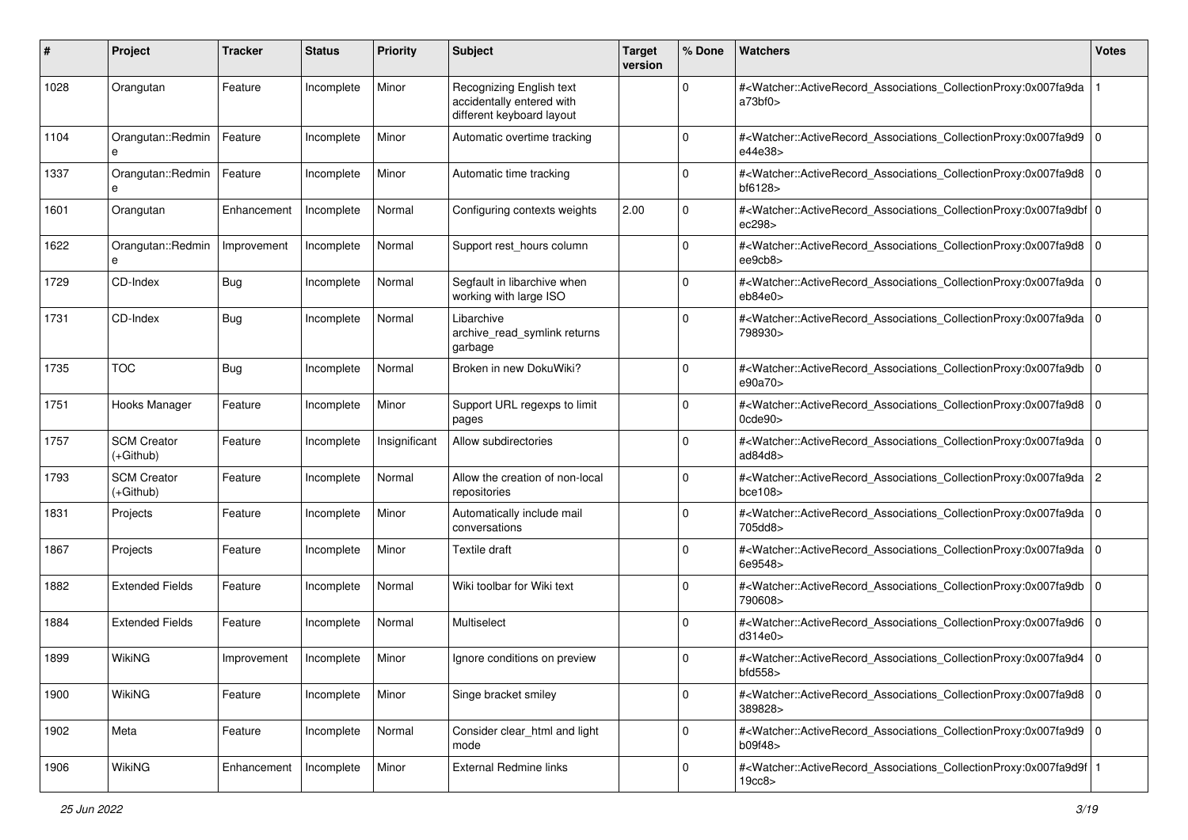| #    | Project                           | <b>Tracker</b> | <b>Status</b> | <b>Priority</b> | <b>Subject</b>                                                                     | <b>Target</b><br>version | % Done      | Watchers                                                                                                                                                                       | <b>Votes</b> |
|------|-----------------------------------|----------------|---------------|-----------------|------------------------------------------------------------------------------------|--------------------------|-------------|--------------------------------------------------------------------------------------------------------------------------------------------------------------------------------|--------------|
| 1028 | Orangutan                         | Feature        | Incomplete    | Minor           | Recognizing English text<br>accidentally entered with<br>different keyboard layout |                          | $\Omega$    | # <watcher::activerecord_associations_collectionproxy:0x007fa9da<br>a73b f0</watcher::activerecord_associations_collectionproxy:0x007fa9da<br>                                 |              |
| 1104 | Orangutan::Redmin<br>e            | Feature        | Incomplete    | Minor           | Automatic overtime tracking                                                        |                          | 0           | # <watcher::activerecord_associations_collectionproxy:0x007fa9d9 0<br=""  ="">e44e38&gt;</watcher::activerecord_associations_collectionproxy:0x007fa9d9>                       |              |
| 1337 | Orangutan::Redmin                 | Feature        | Incomplete    | Minor           | Automatic time tracking                                                            |                          | $\Omega$    | # <watcher::activerecord_associations_collectionproxy:0x007fa9d8 0<br=""  ="">bf6128&gt;</watcher::activerecord_associations_collectionproxy:0x007fa9d8>                       |              |
| 1601 | Orangutan                         | Enhancement    | Incomplete    | Normal          | Configuring contexts weights                                                       | 2.00                     | $\Omega$    | # <watcher::activerecord_associations_collectionproxy:0x007fa9dbf 0<br="">ec298&gt;</watcher::activerecord_associations_collectionproxy:0x007fa9dbf>                           |              |
| 1622 | Orangutan::Redmin<br>e            | Improvement    | Incomplete    | Normal          | Support rest_hours column                                                          |                          | $\Omega$    | # <watcher::activerecord_associations_collectionproxy:0x007fa9d8 0<br=""  ="">ee9cb8&gt;</watcher::activerecord_associations_collectionproxy:0x007fa9d8>                       |              |
| 1729 | CD-Index                          | <b>Bug</b>     | Incomplete    | Normal          | Segfault in libarchive when<br>working with large ISO                              |                          | $\Omega$    | # <watcher::activerecord_associations_collectionproxy:0x007fa9da 0<br="">eb84e0</watcher::activerecord_associations_collectionproxy:0x007fa9da>                                |              |
| 1731 | CD-Index                          | <b>Bug</b>     | Incomplete    | Normal          | Libarchive<br>archive_read_symlink returns<br>garbage                              |                          | $\Omega$    | # <watcher::activerecord_associations_collectionproxy:0x007fa9da 0<br="">798930&gt;</watcher::activerecord_associations_collectionproxy:0x007fa9da>                            |              |
| 1735 | <b>TOC</b>                        | Bug            | Incomplete    | Normal          | Broken in new DokuWiki?                                                            |                          | $\Omega$    | # <watcher::activerecord_associations_collectionproxy:0x007fa9db 0<br="">e90a70&gt;</watcher::activerecord_associations_collectionproxy:0x007fa9db>                            |              |
| 1751 | Hooks Manager                     | Feature        | Incomplete    | Minor           | Support URL regexps to limit<br>pages                                              |                          | $\Omega$    | # <watcher::activerecord_associations_collectionproxy:0x007fa9d8 0<br=""  =""><math>0</math>cde<math>90</math></watcher::activerecord_associations_collectionproxy:0x007fa9d8> |              |
| 1757 | <b>SCM Creator</b><br>(+Github)   | Feature        | Incomplete    | Insignificant   | Allow subdirectories                                                               |                          | $\Omega$    | # <watcher::activerecord_associations_collectionproxy:0x007fa9da 0<br="">ad<math>84d8</math></watcher::activerecord_associations_collectionproxy:0x007fa9da>                   |              |
| 1793 | <b>SCM Creator</b><br>$(+Github)$ | Feature        | Incomplete    | Normal          | Allow the creation of non-local<br>repositories                                    |                          | $\Omega$    | # <watcher::activerecord_associations_collectionproxy:0x007fa9da 2<br=""  ="">bce108</watcher::activerecord_associations_collectionproxy:0x007fa9da>                           |              |
| 1831 | Projects                          | Feature        | Incomplete    | Minor           | Automatically include mail<br>conversations                                        |                          | $\Omega$    | # <watcher::activerecord_associations_collectionproxy:0x007fa9da 0<br="">705dd8&gt;</watcher::activerecord_associations_collectionproxy:0x007fa9da>                            |              |
| 1867 | Projects                          | Feature        | Incomplete    | Minor           | Textile draft                                                                      |                          | $\Omega$    | # <watcher::activerecord_associations_collectionproxy:0x007fa9da 0<br=""  ="">6e9548&gt;</watcher::activerecord_associations_collectionproxy:0x007fa9da>                       |              |
| 1882 | <b>Extended Fields</b>            | Feature        | Incomplete    | Normal          | Wiki toolbar for Wiki text                                                         |                          | $\Omega$    | # <watcher::activerecord_associations_collectionproxy:0x007fa9db 0<br=""  ="">790608&gt;</watcher::activerecord_associations_collectionproxy:0x007fa9db>                       |              |
| 1884 | <b>Extended Fields</b>            | Feature        | Incomplete    | Normal          | Multiselect                                                                        |                          | $\Omega$    | # <watcher::activerecord_associations_collectionproxy:0x007fa9d6 0<br=""  ="">d314e0</watcher::activerecord_associations_collectionproxy:0x007fa9d6>                           |              |
| 1899 | <b>WikiNG</b>                     | Improvement    | Incomplete    | Minor           | Ignore conditions on preview                                                       |                          | $\Omega$    | # <watcher::activerecord_associations_collectionproxy:0x007fa9d4 0<br=""  ="">bfd558&gt;</watcher::activerecord_associations_collectionproxy:0x007fa9d4>                       |              |
| 1900 | <b>WikiNG</b>                     | Feature        | Incomplete    | Minor           | Singe bracket smiley                                                               |                          | $\mathbf 0$ | # <watcher::activerecord_associations_collectionproxy:0x007fa9d8 0<br=""  ="">389828&gt;</watcher::activerecord_associations_collectionproxy:0x007fa9d8>                       |              |
| 1902 | Meta                              | Feature        | Incomplete    | Normal          | Consider clear_html and light<br>mode                                              |                          | $\Omega$    | # <watcher::activerecord_associations_collectionproxy:0x007fa9d9 0<br="">b09f48&gt;</watcher::activerecord_associations_collectionproxy:0x007fa9d9>                            |              |
| 1906 | WikiNG                            | Enhancement    | Incomplete    | Minor           | <b>External Redmine links</b>                                                      |                          | $\Omega$    | # <watcher::activerecord_associations_collectionproxy:0x007fa9d9f 1<br=""  ="">19cc8&gt;</watcher::activerecord_associations_collectionproxy:0x007fa9d9f>                      |              |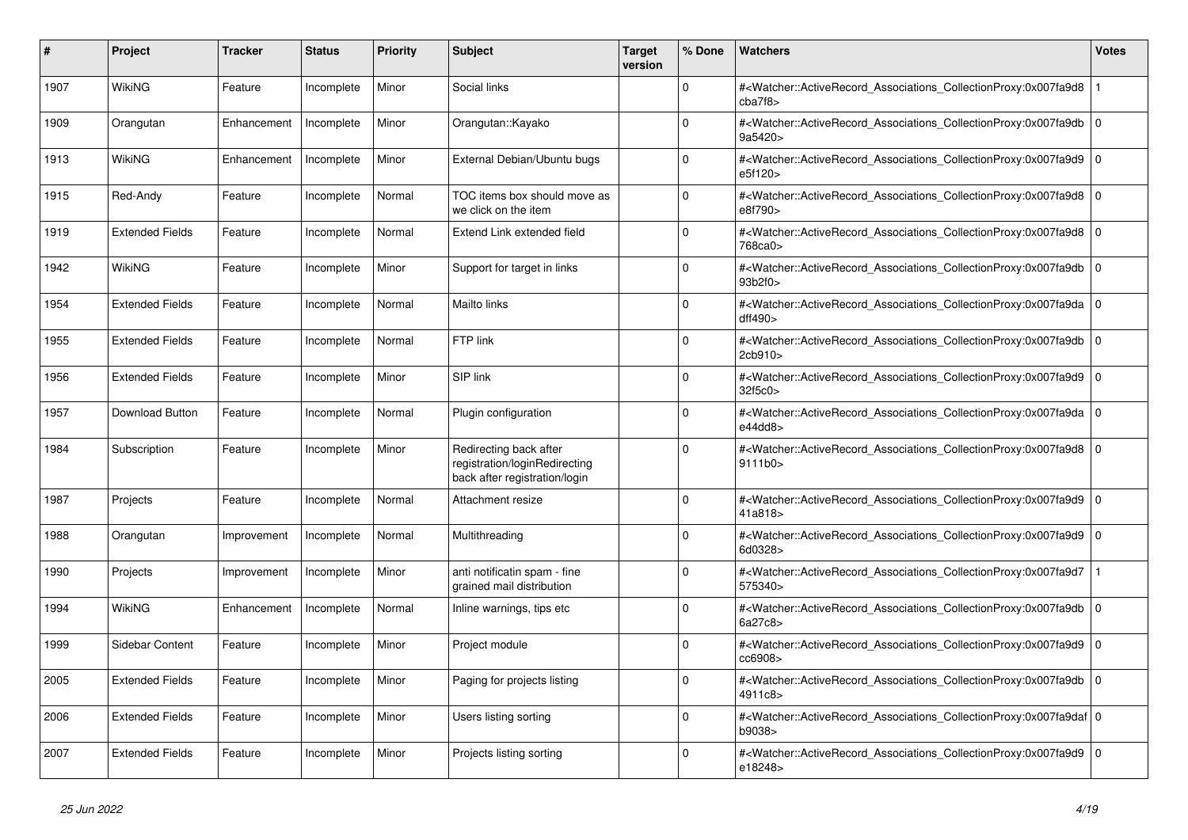| #    | <b>Project</b>         | <b>Tracker</b> | <b>Status</b> | <b>Priority</b> | <b>Subject</b>                                                                           | <b>Target</b><br>version | % Done   | <b>Watchers</b>                                                                                                                                          | <b>Votes</b> |
|------|------------------------|----------------|---------------|-----------------|------------------------------------------------------------------------------------------|--------------------------|----------|----------------------------------------------------------------------------------------------------------------------------------------------------------|--------------|
| 1907 | <b>WikiNG</b>          | Feature        | Incomplete    | Minor           | Social links                                                                             |                          | $\Omega$ | # <watcher::activerecord_associations_collectionproxy:0x007fa9d8<br>cba7f8</watcher::activerecord_associations_collectionproxy:0x007fa9d8<br>            |              |
| 1909 | Orangutan              | Enhancement    | Incomplete    | Minor           | Orangutan::Kayako                                                                        |                          | $\Omega$ | # <watcher::activerecord_associations_collectionproxy:0x007fa9db<br>9a5420&gt;</watcher::activerecord_associations_collectionproxy:0x007fa9db<br>        | $\Omega$     |
| 1913 | WikiNG                 | Enhancement    | Incomplete    | Minor           | External Debian/Ubuntu bugs                                                              |                          | $\Omega$ | # <watcher::activerecord_associations_collectionproxy:0x007fa9d9 0<br=""  ="">e5f120&gt;</watcher::activerecord_associations_collectionproxy:0x007fa9d9> |              |
| 1915 | Red-Andy               | Feature        | Incomplete    | Normal          | TOC items box should move as<br>we click on the item                                     |                          | $\Omega$ | # <watcher::activerecord_associations_collectionproxy:0x007fa9d8  <br="">e8f790&gt;</watcher::activerecord_associations_collectionproxy:0x007fa9d8>      | $\Omega$     |
| 1919 | <b>Extended Fields</b> | Feature        | Incomplete    | Normal          | Extend Link extended field                                                               |                          | $\Omega$ | # <watcher::activerecord_associations_collectionproxy:0x007fa9d8  <br="">768ca0&gt;</watcher::activerecord_associations_collectionproxy:0x007fa9d8>      | $\mathbf 0$  |
| 1942 | WikiNG                 | Feature        | Incomplete    | Minor           | Support for target in links                                                              |                          | $\Omega$ | # <watcher::activerecord_associations_collectionproxy:0x007fa9db 0<br=""  ="">93b2f0&gt;</watcher::activerecord_associations_collectionproxy:0x007fa9db> |              |
| 1954 | <b>Extended Fields</b> | Feature        | Incomplete    | Normal          | Mailto links                                                                             |                          | $\Omega$ | # <watcher::activerecord associations="" collectionproxy:0x007fa9da<br="">dff490&gt;</watcher::activerecord>                                             | $\mathbf 0$  |
| 1955 | <b>Extended Fields</b> | Feature        | Incomplete    | Normal          | FTP link                                                                                 |                          | $\Omega$ | # <watcher::activerecord_associations_collectionproxy:0x007fa9db<br>2cb910&gt;</watcher::activerecord_associations_collectionproxy:0x007fa9db<br>        | $\mathbf 0$  |
| 1956 | <b>Extended Fields</b> | Feature        | Incomplete    | Minor           | SIP link                                                                                 |                          | $\Omega$ | # <watcher::activerecord_associations_collectionproxy:0x007fa9d9 0<br=""  ="">32f5c0&gt;</watcher::activerecord_associations_collectionproxy:0x007fa9d9> |              |
| 1957 | Download Button        | Feature        | Incomplete    | Normal          | Plugin configuration                                                                     |                          | $\Omega$ | # <watcher::activerecord_associations_collectionproxy:0x007fa9da 0<br=""  ="">e44ddB</watcher::activerecord_associations_collectionproxy:0x007fa9da>     |              |
| 1984 | Subscription           | Feature        | Incomplete    | Minor           | Redirecting back after<br>registration/loginRedirecting<br>back after registration/login |                          | $\Omega$ | # <watcher::activerecord_associations_collectionproxy:0x007fa9d8  <br="">9111b0&gt;</watcher::activerecord_associations_collectionproxy:0x007fa9d8>      | $\Omega$     |
| 1987 | Projects               | Feature        | Incomplete    | Normal          | Attachment resize                                                                        |                          | $\Omega$ | # <watcher::activerecord 0<br="" associations="" collectionproxy:0x007fa9d9=""  ="">41a818&gt;</watcher::activerecord>                                   |              |
| 1988 | Orangutan              | Improvement    | Incomplete    | Normal          | Multithreading                                                                           |                          | $\Omega$ | # <watcher::activerecord_associations_collectionproxy:0x007fa9d9<br>6d0328&gt;</watcher::activerecord_associations_collectionproxy:0x007fa9d9<br>        | $\mathbf 0$  |
| 1990 | Projects               | Improvement    | Incomplete    | Minor           | anti notificatin spam - fine<br>grained mail distribution                                |                          | $\Omega$ | # <watcher::activerecord associations="" collectionproxy:0x007fa9d7<br="">575340&gt;</watcher::activerecord>                                             |              |
| 1994 | WikiNG                 | Enhancement    | Incomplete    | Normal          | Inline warnings, tips etc                                                                |                          | $\Omega$ | # <watcher::activerecord associations="" collectionproxy:0x007fa9db<br="">6a27c8&gt;</watcher::activerecord>                                             | $\mathbf 0$  |
| 1999 | Sidebar Content        | Feature        | Incomplete    | Minor           | Project module                                                                           |                          | $\Omega$ | # <watcher::activerecord_associations_collectionproxy:0x007fa9d9<br>cc6908&gt;</watcher::activerecord_associations_collectionproxy:0x007fa9d9<br>        | $\mathbf 0$  |
| 2005 | <b>Extended Fields</b> | Feature        | Incomplete    | Minor           | Paging for projects listing                                                              |                          | $\Omega$ | # <watcher::activerecord 0<br="" associations="" collectionproxy:0x007fa9db=""  ="">4911c8&gt;</watcher::activerecord>                                   |              |
| 2006 | <b>Extended Fields</b> | Feature        | Incomplete    | Minor           | Users listing sorting                                                                    |                          | $\Omega$ | # <watcher::activerecord 0<br="" associations="" collectionproxy:0x007fa9daf=""  ="">b9038&gt;</watcher::activerecord>                                   |              |
| 2007 | <b>Extended Fields</b> | Feature        | Incomplete    | Minor           | Projects listing sorting                                                                 |                          | $\Omega$ | # <watcher::activerecord_associations_collectionproxy:0x007fa9d9<br>e18248&gt;</watcher::activerecord_associations_collectionproxy:0x007fa9d9<br>        | $\mathbf 0$  |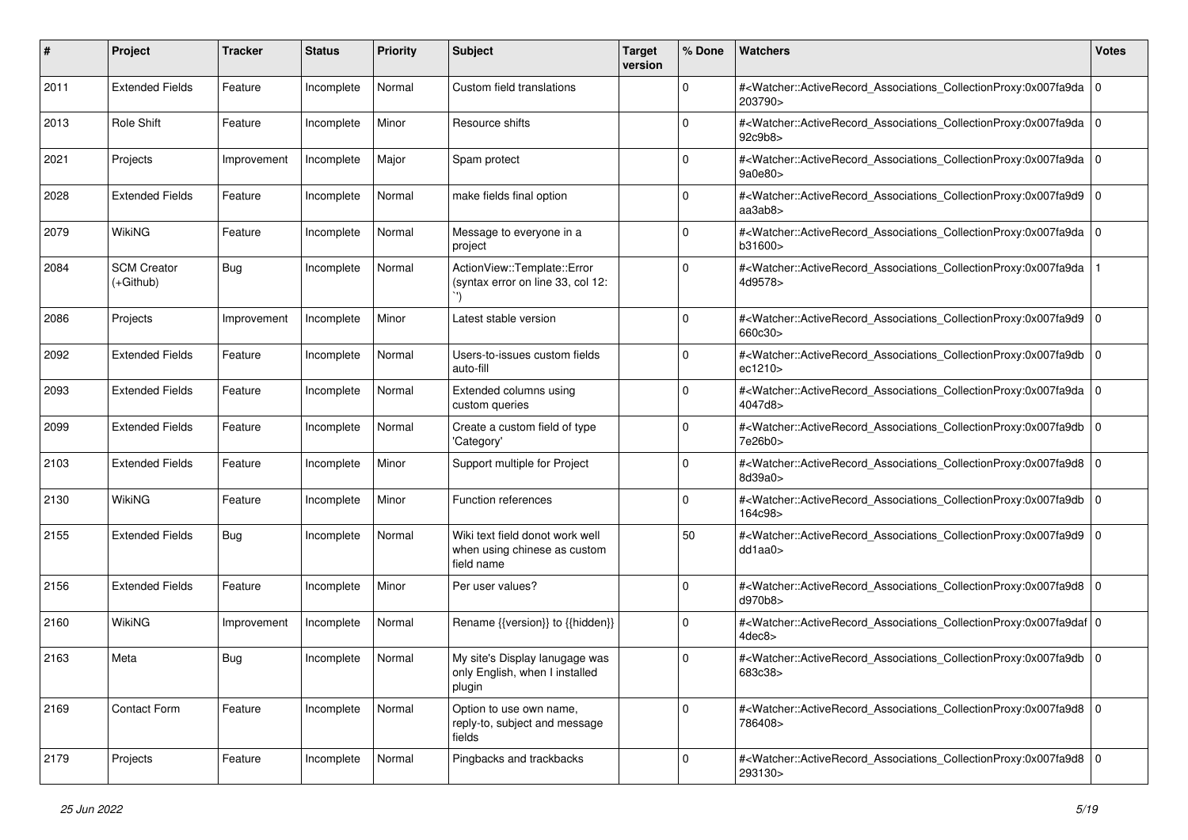| #    | Project                           | Tracker     | <b>Status</b> | <b>Priority</b> | <b>Subject</b>                                                                | <b>Target</b><br>version | % Done      | Watchers                                                                                                                                                 | <b>Votes</b>   |
|------|-----------------------------------|-------------|---------------|-----------------|-------------------------------------------------------------------------------|--------------------------|-------------|----------------------------------------------------------------------------------------------------------------------------------------------------------|----------------|
| 2011 | <b>Extended Fields</b>            | Feature     | Incomplete    | Normal          | Custom field translations                                                     |                          | 0           | # <watcher::activerecord_associations_collectionproxy:0x007fa9da 0<br="">203790&gt;</watcher::activerecord_associations_collectionproxy:0x007fa9da>      |                |
| 2013 | Role Shift                        | Feature     | Incomplete    | Minor           | Resource shifts                                                               |                          | $\Omega$    | # <watcher::activerecord_associations_collectionproxy:0x007fa9da 0<br="">92c9b8&gt;</watcher::activerecord_associations_collectionproxy:0x007fa9da>      |                |
| 2021 | Projects                          | Improvement | Incomplete    | Major           | Spam protect                                                                  |                          | $\Omega$    | # <watcher::activerecord_associations_collectionproxy:0x007fa9da 0<br=""  ="">9a0e80&gt;</watcher::activerecord_associations_collectionproxy:0x007fa9da> |                |
| 2028 | <b>Extended Fields</b>            | Feature     | Incomplete    | Normal          | make fields final option                                                      |                          | $\Omega$    | # <watcher::activerecord_associations_collectionproxy:0x007fa9d9 0<br=""  ="">aa3ab8&gt;</watcher::activerecord_associations_collectionproxy:0x007fa9d9> |                |
| 2079 | WikiNG                            | Feature     | Incomplete    | Normal          | Message to everyone in a<br>project                                           |                          | $\mathbf 0$ | # <watcher::activerecord_associations_collectionproxy:0x007fa9da 0<br="">b31600&gt;</watcher::activerecord_associations_collectionproxy:0x007fa9da>      |                |
| 2084 | <b>SCM Creator</b><br>$(+Github)$ | Bug         | Incomplete    | Normal          | ActionView::Template::Error<br>(syntax error on line 33, col 12:              |                          | $\Omega$    | # <watcher::activerecord_associations_collectionproxy:0x007fa9da<br>4d9578&gt;</watcher::activerecord_associations_collectionproxy:0x007fa9da<br>        |                |
| 2086 | Projects                          | Improvement | Incomplete    | Minor           | Latest stable version                                                         |                          | $\Omega$    | # <watcher::activerecord_associations_collectionproxy:0x007fa9d9 0<br=""  ="">660c30&gt;</watcher::activerecord_associations_collectionproxy:0x007fa9d9> |                |
| 2092 | <b>Extended Fields</b>            | Feature     | Incomplete    | Normal          | Users-to-issues custom fields<br>auto-fill                                    |                          | $\Omega$    | # <watcher::activerecord_associations_collectionproxy:0x007fa9db 0<br="">ec1210&gt;</watcher::activerecord_associations_collectionproxy:0x007fa9db>      |                |
| 2093 | <b>Extended Fields</b>            | Feature     | Incomplete    | Normal          | Extended columns using<br>custom queries                                      |                          | $\mathbf 0$ | # <watcher::activerecord_associations_collectionproxy:0x007fa9da 0<br="">4047d8&gt;</watcher::activerecord_associations_collectionproxy:0x007fa9da>      |                |
| 2099 | <b>Extended Fields</b>            | Feature     | Incomplete    | Normal          | Create a custom field of type<br>'Category'                                   |                          | $\Omega$    | # <watcher::activerecord_associations_collectionproxy:0x007fa9db 0<br="">7e26b0&gt;</watcher::activerecord_associations_collectionproxy:0x007fa9db>      |                |
| 2103 | <b>Extended Fields</b>            | Feature     | Incomplete    | Minor           | Support multiple for Project                                                  |                          | $\Omega$    | # <watcher::activerecord_associations_collectionproxy:0x007fa9d8 0<br=""  ="">8d39a0&gt;</watcher::activerecord_associations_collectionproxy:0x007fa9d8> |                |
| 2130 | WikiNG                            | Feature     | Incomplete    | Minor           | Function references                                                           |                          | $\Omega$    | # <watcher::activerecord_associations_collectionproxy:0x007fa9db<br>164c98&gt;</watcher::activerecord_associations_collectionproxy:0x007fa9db<br>        | $\overline{0}$ |
| 2155 | <b>Extended Fields</b>            | Bug         | Incomplete    | Normal          | Wiki text field donot work well<br>when using chinese as custom<br>field name |                          | 50          | # <watcher::activerecord_associations_collectionproxy:0x007fa9d9 0<br=""  ="">dd1aa0&gt;</watcher::activerecord_associations_collectionproxy:0x007fa9d9> |                |
| 2156 | <b>Extended Fields</b>            | Feature     | Incomplete    | Minor           | Per user values?                                                              |                          | $\Omega$    | # <watcher::activerecord_associations_collectionproxy:0x007fa9d8 0<br="">d970b8&gt;</watcher::activerecord_associations_collectionproxy:0x007fa9d8>      |                |
| 2160 | <b>WikiNG</b>                     | Improvement | Incomplete    | Normal          | Rename {{version}} to {{hidden}}                                              |                          | $\Omega$    | # <watcher::activerecord_associations_collectionproxy:0x007fa9daf 0<br="">4dec8&gt;</watcher::activerecord_associations_collectionproxy:0x007fa9daf>     |                |
| 2163 | Meta                              | <b>Bug</b>  | Incomplete    | Normal          | My site's Display lanugage was<br>only English, when I installed<br>plugin    |                          | $\Omega$    | # <watcher::activerecord_associations_collectionproxy:0x007fa9db 0<br="">683c38&gt;</watcher::activerecord_associations_collectionproxy:0x007fa9db>      |                |
| 2169 | Contact Form                      | Feature     | Incomplete    | Normal          | Option to use own name,<br>reply-to, subject and message<br>fields            |                          | 0           | # <watcher::activerecord 0<br="" associations="" collectionproxy:0x007fa9d8="">786408&gt;</watcher::activerecord>                                        |                |
| 2179 | Projects                          | Feature     | Incomplete    | Normal          | Pingbacks and trackbacks                                                      |                          | $\mathbf 0$ | # <watcher::activerecord_associations_collectionproxy:0x007fa9d8 0<br="">293130&gt;</watcher::activerecord_associations_collectionproxy:0x007fa9d8>      |                |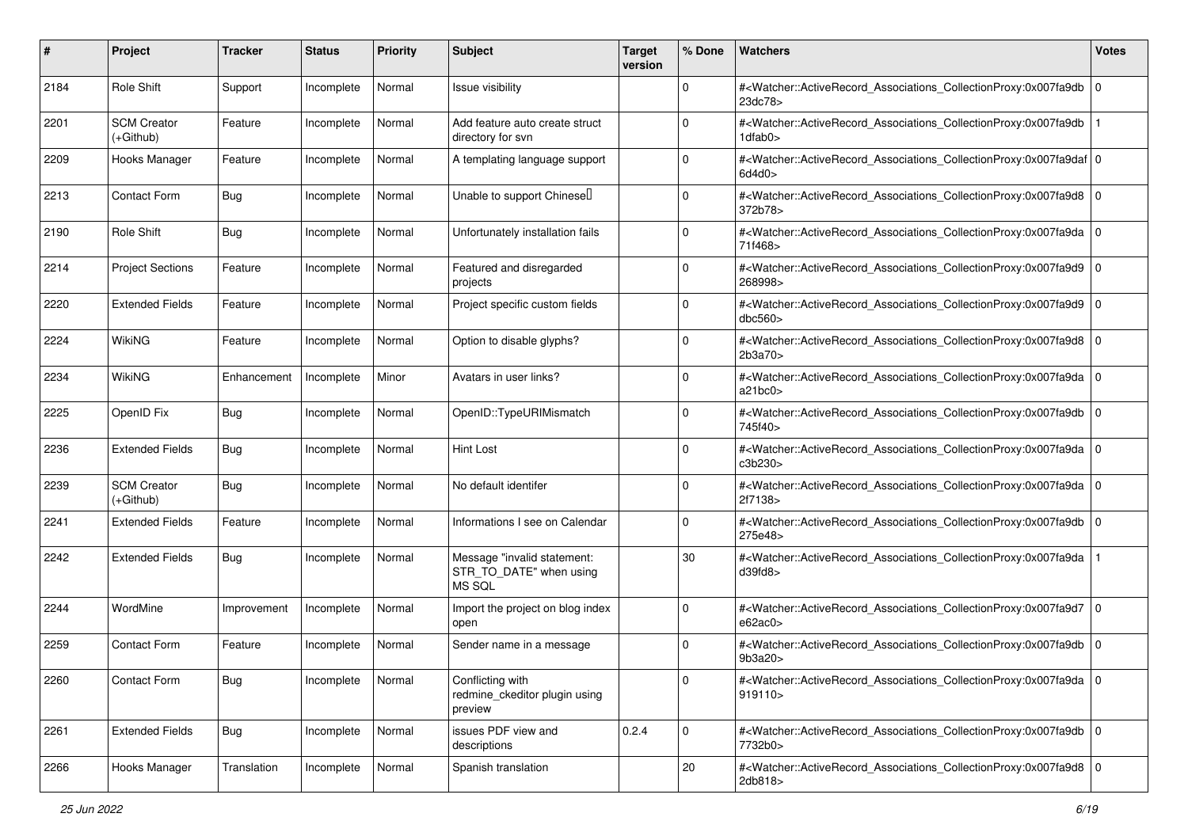| #    | Project                           | <b>Tracker</b> | <b>Status</b> | <b>Priority</b> | <b>Subject</b>                                                   | <b>Target</b><br>version | % Done      | Watchers                                                                                                                                                 | <b>Votes</b> |
|------|-----------------------------------|----------------|---------------|-----------------|------------------------------------------------------------------|--------------------------|-------------|----------------------------------------------------------------------------------------------------------------------------------------------------------|--------------|
| 2184 | Role Shift                        | Support        | Incomplete    | Normal          | Issue visibility                                                 |                          | $\mathbf 0$ | # <watcher::activerecord_associations_collectionproxy:0x007fa9db<br>23dc78&gt;</watcher::activerecord_associations_collectionproxy:0x007fa9db<br>        | l 0          |
| 2201 | <b>SCM Creator</b><br>(+Github)   | Feature        | Incomplete    | Normal          | Add feature auto create struct<br>directory for svn              |                          | $\Omega$    | # <watcher::activerecord_associations_collectionproxy:0x007fa9db<br>1dfab0&gt;</watcher::activerecord_associations_collectionproxy:0x007fa9db<br>        |              |
| 2209 | Hooks Manager                     | Feature        | Incomplete    | Normal          | A templating language support                                    |                          | 0           | # <watcher::activerecord_associations_collectionproxy:0x007fa9daf 0<br=""  ="">6d4d0</watcher::activerecord_associations_collectionproxy:0x007fa9daf>    |              |
| 2213 | <b>Contact Form</b>               | <b>Bug</b>     | Incomplete    | Normal          | Unable to support Chinesell                                      |                          | $\Omega$    | # <watcher::activerecord_associations_collectionproxy:0x007fa9d8 0<br="">372b78&gt;</watcher::activerecord_associations_collectionproxy:0x007fa9d8>      |              |
| 2190 | Role Shift                        | <b>Bug</b>     | Incomplete    | Normal          | Unfortunately installation fails                                 |                          | $\Omega$    | # <watcher::activerecord_associations_collectionproxy:0x007fa9da 0<br=""  ="">71f468&gt;</watcher::activerecord_associations_collectionproxy:0x007fa9da> |              |
| 2214 | <b>Project Sections</b>           | Feature        | Incomplete    | Normal          | Featured and disregarded<br>projects                             |                          | $\Omega$    | # <watcher::activerecord_associations_collectionproxy:0x007fa9d9 0<br=""  ="">268998&gt;</watcher::activerecord_associations_collectionproxy:0x007fa9d9> |              |
| 2220 | <b>Extended Fields</b>            | Feature        | Incomplete    | Normal          | Project specific custom fields                                   |                          | $\Omega$    | # <watcher::activerecord_associations_collectionproxy:0x007fa9d9<br>dbc560&gt;</watcher::activerecord_associations_collectionproxy:0x007fa9d9<br>        | l O          |
| 2224 | <b>WikiNG</b>                     | Feature        | Incomplete    | Normal          | Option to disable glyphs?                                        |                          | $\mathbf 0$ | # <watcher::activerecord_associations_collectionproxy:0x007fa9d8<br>2b3a70</watcher::activerecord_associations_collectionproxy:0x007fa9d8<br>            | l O          |
| 2234 | <b>WikiNG</b>                     | Enhancement    | Incomplete    | Minor           | Avatars in user links?                                           |                          | $\Omega$    | # <watcher::activerecord_associations_collectionproxy:0x007fa9da<br>a21bc0&gt;</watcher::activerecord_associations_collectionproxy:0x007fa9da<br>        | l O          |
| 2225 | OpenID Fix                        | <b>Bug</b>     | Incomplete    | Normal          | OpenID::TypeURIMismatch                                          |                          | 0           | # <watcher::activerecord_associations_collectionproxy:0x007fa9db 0<br=""  ="">745f40&gt;</watcher::activerecord_associations_collectionproxy:0x007fa9db> |              |
| 2236 | <b>Extended Fields</b>            | <b>Bug</b>     | Incomplete    | Normal          | <b>Hint Lost</b>                                                 |                          | $\Omega$    | # <watcher::activerecord_associations_collectionproxy:0x007fa9da<br>c3b230&gt;</watcher::activerecord_associations_collectionproxy:0x007fa9da<br>        | l O          |
| 2239 | <b>SCM Creator</b><br>$(+Github)$ | <b>Bug</b>     | Incomplete    | Normal          | No default identifer                                             |                          | $\Omega$    | # <watcher::activerecord_associations_collectionproxy:0x007fa9da 0<br=""  ="">2f7138&gt;</watcher::activerecord_associations_collectionproxy:0x007fa9da> |              |
| 2241 | <b>Extended Fields</b>            | Feature        | Incomplete    | Normal          | Informations I see on Calendar                                   |                          | $\Omega$    | # <watcher::activerecord_associations_collectionproxy:0x007fa9db<br>275e48&gt;</watcher::activerecord_associations_collectionproxy:0x007fa9db<br>        | l 0          |
| 2242 | <b>Extended Fields</b>            | <b>Bug</b>     | Incomplete    | Normal          | Message "invalid statement:<br>STR_TO_DATE" when using<br>MS SQL |                          | 30          | # <watcher::activerecord_associations_collectionproxy:0x007fa9da<br>d39fd8</watcher::activerecord_associations_collectionproxy:0x007fa9da<br>            |              |
| 2244 | WordMine                          | Improvement    | Incomplete    | Normal          | Import the project on blog index<br>open                         |                          | $\Omega$    | # <watcher::activerecord_associations_collectionproxy:0x007fa9d7<br>e62ac0&gt;</watcher::activerecord_associations_collectionproxy:0x007fa9d7<br>        | l 0          |
| 2259 | Contact Form                      | Feature        | Incomplete    | Normal          | Sender name in a message                                         |                          | $\Omega$    | # <watcher::activerecord_associations_collectionproxy:0x007fa9db<br>9b3a20&gt;</watcher::activerecord_associations_collectionproxy:0x007fa9db<br>        | ۱o           |
| 2260 | Contact Form                      | Bug            | Incomplete    | Normal          | Conflicting with<br>redmine_ckeditor plugin using<br>preview     |                          | 0           | # <watcher::activerecord_associations_collectionproxy:0x007fa9da 0<br=""  ="">919110&gt;</watcher::activerecord_associations_collectionproxy:0x007fa9da> |              |
| 2261 | <b>Extended Fields</b>            | Bug            | Incomplete    | Normal          | issues PDF view and<br>descriptions                              | 0.2.4                    | $\mathbf 0$ | # <watcher::activerecord_associations_collectionproxy:0x007fa9db 0<br="">7732b0&gt;</watcher::activerecord_associations_collectionproxy:0x007fa9db>      |              |
| 2266 | Hooks Manager                     | Translation    | Incomplete    | Normal          | Spanish translation                                              |                          | 20          | # <watcher::activerecord_associations_collectionproxy:0x007fa9d8 0<br="">2db818&gt;</watcher::activerecord_associations_collectionproxy:0x007fa9d8>      |              |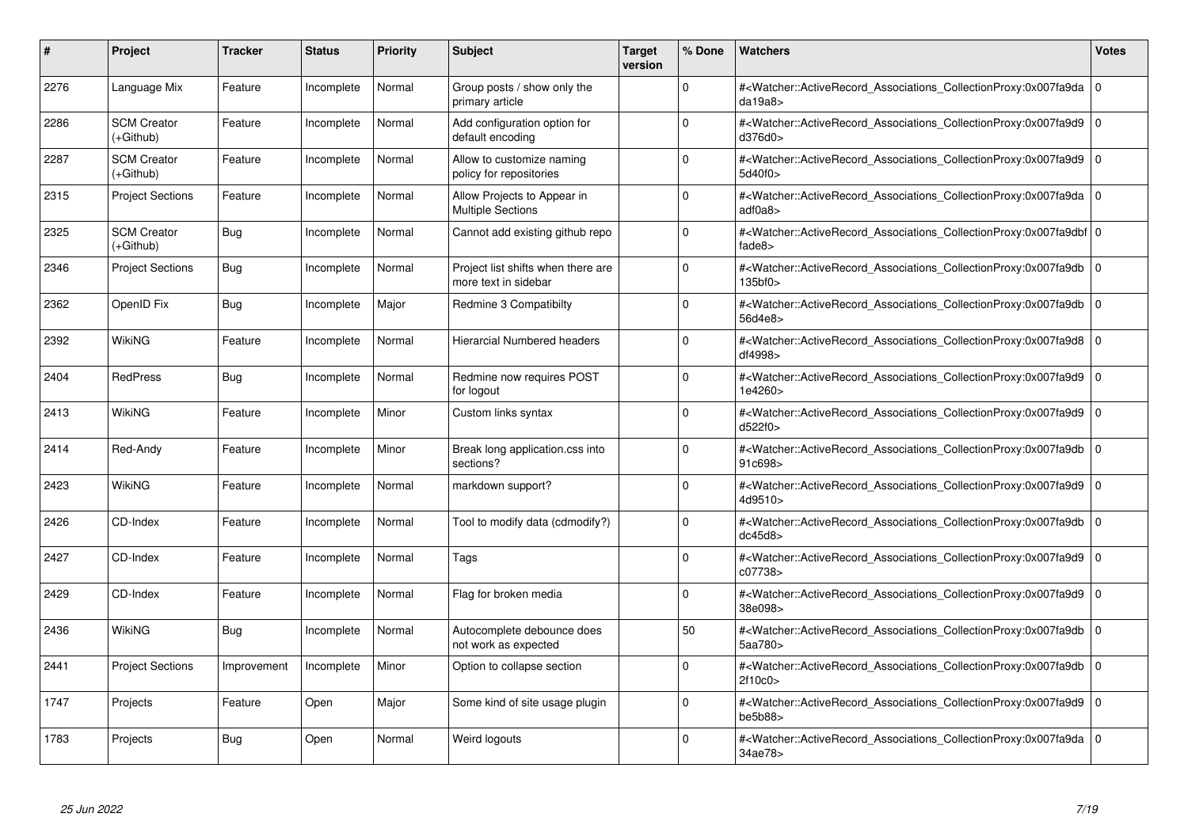| #    | Project                         | <b>Tracker</b> | <b>Status</b> | <b>Priority</b> | <b>Subject</b>                                             | <b>Target</b><br>version | % Done      | <b>Watchers</b>                                                                                                                                           | <b>Votes</b> |
|------|---------------------------------|----------------|---------------|-----------------|------------------------------------------------------------|--------------------------|-------------|-----------------------------------------------------------------------------------------------------------------------------------------------------------|--------------|
| 2276 | Language Mix                    | Feature        | Incomplete    | Normal          | Group posts / show only the<br>primary article             |                          | $\Omega$    | # <watcher::activerecord associations="" collectionproxy:0x007fa9da<br="">da19a8</watcher::activerecord>                                                  | $\mathbf 0$  |
| 2286 | <b>SCM Creator</b><br>(+Github) | Feature        | Incomplete    | Normal          | Add configuration option for<br>default encoding           |                          | $\Omega$    | # <watcher::activerecord_associations_collectionproxy:0x007fa9d9  <br="">d376d0&gt;</watcher::activerecord_associations_collectionproxy:0x007fa9d9>       | $\mathbf 0$  |
| 2287 | <b>SCM Creator</b><br>(+Github) | Feature        | Incomplete    | Normal          | Allow to customize naming<br>policy for repositories       |                          | $\Omega$    | # <watcher::activerecord associations="" collectionproxy:0x007fa9d9<br="">5d40f0&gt;</watcher::activerecord>                                              | $\mathbf 0$  |
| 2315 | <b>Project Sections</b>         | Feature        | Incomplete    | Normal          | Allow Projects to Appear in<br><b>Multiple Sections</b>    |                          | $\Omega$    | # <watcher::activerecord 0<br="" associations="" collectionproxy:0x007fa9da=""  ="">adfoa8</watcher::activerecord>                                        |              |
| 2325 | <b>SCM Creator</b><br>(+Github) | Bug            | Incomplete    | Normal          | Cannot add existing github repo                            |                          | $\Omega$    | # <watcher::activerecord_associations_collectionproxy:0x007fa9dbf 0<br=""  ="">fade8&gt;</watcher::activerecord_associations_collectionproxy:0x007fa9dbf> |              |
| 2346 | <b>Project Sections</b>         | Bug            | Incomplete    | Normal          | Project list shifts when there are<br>more text in sidebar |                          | $\Omega$    | # <watcher::activerecord associations="" collectionproxy:0x007fa9db<br="">135<sub>bf0</sub></watcher::activerecord>                                       | $\Omega$     |
| 2362 | OpenID Fix                      | Bug            | Incomplete    | Major           | Redmine 3 Compatibilty                                     |                          | $\Omega$    | # <watcher::activerecord_associations_collectionproxy:0x007fa9db  <br="">56d4e8&gt;</watcher::activerecord_associations_collectionproxy:0x007fa9db>       | $\Omega$     |
| 2392 | WikiNG                          | Feature        | Incomplete    | Normal          | <b>Hierarcial Numbered headers</b>                         |                          | $\Omega$    | # <watcher::activerecord associations="" collectionproxy:0x007fa9d8=""  <br="">df4998&gt;</watcher::activerecord>                                         | $\mathbf 0$  |
| 2404 | <b>RedPress</b>                 | Bug            | Incomplete    | Normal          | Redmine now requires POST<br>for logout                    |                          | $\Omega$    | # <watcher::activerecord_associations_collectionproxy:0x007fa9d9  <br="">1e4260&gt;</watcher::activerecord_associations_collectionproxy:0x007fa9d9>       | $\mathbf 0$  |
| 2413 | <b>WikiNG</b>                   | Feature        | Incomplete    | Minor           | Custom links syntax                                        |                          | $\Omega$    | # <watcher::activerecord_associations_collectionproxy:0x007fa9d9<br>d522f0&gt;</watcher::activerecord_associations_collectionproxy:0x007fa9d9<br>         | $\Omega$     |
| 2414 | Red-Andy                        | Feature        | Incomplete    | Minor           | Break long application.css into<br>sections?               |                          | $\Omega$    | # <watcher::activerecord associations="" collectionproxy:0x007fa9db=""  <br="">91c698&gt;</watcher::activerecord>                                         | $\mathbf 0$  |
| 2423 | <b>WikiNG</b>                   | Feature        | Incomplete    | Normal          | markdown support?                                          |                          | $\Omega$    | # <watcher::activerecord associations="" collectionproxy:0x007fa9d9=""  <br="">4d9510&gt;</watcher::activerecord>                                         | $\Omega$     |
| 2426 | CD-Index                        | Feature        | Incomplete    | Normal          | Tool to modify data (cdmodify?)                            |                          | $\Omega$    | # <watcher::activerecord associations="" collectionproxy:0x007fa9db<br="">dc45d8</watcher::activerecord>                                                  | $\mathbf 0$  |
| 2427 | CD-Index                        | Feature        | Incomplete    | Normal          | Tags                                                       |                          | $\mathbf 0$ | # <watcher::activerecord_associations_collectionproxy:0x007fa9d9  <br="">c07738&gt;</watcher::activerecord_associations_collectionproxy:0x007fa9d9>       | $\mathbf 0$  |
| 2429 | CD-Index                        | Feature        | Incomplete    | Normal          | Flag for broken media                                      |                          | $\Omega$    | # <watcher::activerecord_associations_collectionproxy:0x007fa9d9 0<br=""  ="">38e098&gt;</watcher::activerecord_associations_collectionproxy:0x007fa9d9>  |              |
| 2436 | WikiNG                          | <b>Bug</b>     | Incomplete    | Normal          | Autocomplete debounce does<br>not work as expected         |                          | 50          | # <watcher::activerecord associations="" collectionproxy:0x007fa9db=""  <br="">5aa780&gt;</watcher::activerecord>                                         | $\mathbf 0$  |
| 2441 | <b>Project Sections</b>         | Improvement    | Incomplete    | Minor           | Option to collapse section                                 |                          | $\Omega$    | # <watcher::activerecord_associations_collectionproxy:0x007fa9db  <br="">2f10c0&gt;</watcher::activerecord_associations_collectionproxy:0x007fa9db>       | $\Omega$     |
| 1747 | Projects                        | Feature        | Open          | Major           | Some kind of site usage plugin                             |                          | $\Omega$    | # <watcher::activerecord associations="" collectionproxy:0x007fa9d9<br="">be5b88&gt;</watcher::activerecord>                                              | $\mathbf 0$  |
| 1783 | Projects                        | Bug            | Open          | Normal          | Weird logouts                                              |                          | $\Omega$    | # <watcher::activerecord_associations_collectionproxy:0x007fa9da 0<br=""  ="">34ae78&gt;</watcher::activerecord_associations_collectionproxy:0x007fa9da>  |              |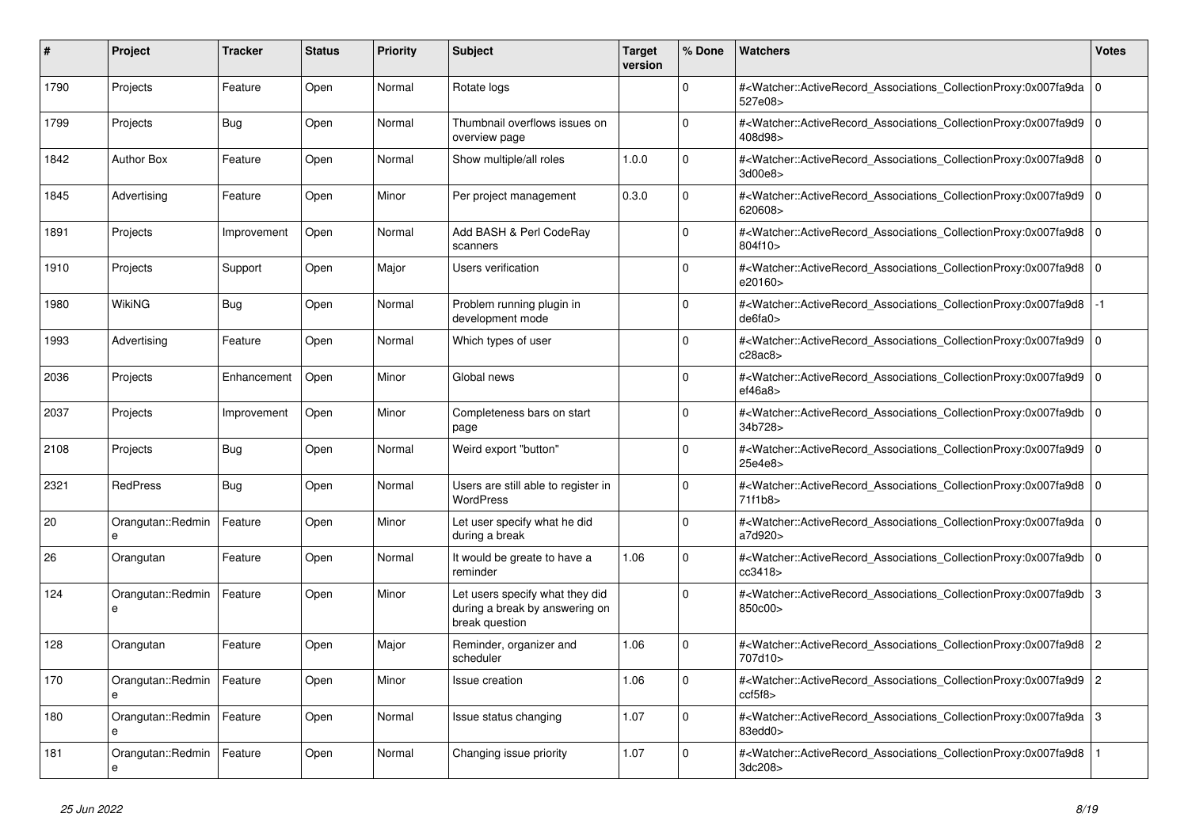| #    | Project                | <b>Tracker</b> | <b>Status</b> | <b>Priority</b> | <b>Subject</b>                                                                      | Target<br>version | % Done      | <b>Watchers</b>                                                                                                                                          | <b>Votes</b>   |
|------|------------------------|----------------|---------------|-----------------|-------------------------------------------------------------------------------------|-------------------|-------------|----------------------------------------------------------------------------------------------------------------------------------------------------------|----------------|
| 1790 | Projects               | Feature        | Open          | Normal          | Rotate logs                                                                         |                   | $\Omega$    | # <watcher::activerecord_associations_collectionproxy:0x007fa9da<br>527e08&gt;</watcher::activerecord_associations_collectionproxy:0x007fa9da<br>        | l o            |
| 1799 | Projects               | Bug            | Open          | Normal          | Thumbnail overflows issues on<br>overview page                                      |                   | $\Omega$    | # <watcher::activerecord_associations_collectionproxy:0x007fa9d9<br>408d98&gt;</watcher::activerecord_associations_collectionproxy:0x007fa9d9<br>        | $\overline{0}$ |
| 1842 | <b>Author Box</b>      | Feature        | Open          | Normal          | Show multiple/all roles                                                             | 1.0.0             | $\Omega$    | # <watcher::activerecord_associations_collectionproxy:0x007fa9d8 0<br=""  ="">3d00e8&gt;</watcher::activerecord_associations_collectionproxy:0x007fa9d8> |                |
| 1845 | Advertising            | Feature        | Open          | Minor           | Per project management                                                              | 0.3.0             | $\Omega$    | # <watcher::activerecord_associations_collectionproxy:0x007fa9d9<br>620608&gt;</watcher::activerecord_associations_collectionproxy:0x007fa9d9<br>        | l 0            |
| 1891 | Projects               | Improvement    | Open          | Normal          | Add BASH & Perl CodeRay<br>scanners                                                 |                   | $\Omega$    | # <watcher::activerecord_associations_collectionproxy:0x007fa9d8 0<br=""  ="">804f10&gt;</watcher::activerecord_associations_collectionproxy:0x007fa9d8> |                |
| 1910 | Projects               | Support        | Open          | Major           | <b>Users verification</b>                                                           |                   | $\Omega$    | # <watcher::activerecord 0<br="" associations="" collectionproxy:0x007fa9d8=""  ="">e20160&gt;</watcher::activerecord>                                   |                |
| 1980 | <b>WikiNG</b>          | Bug            | Open          | Normal          | Problem running plugin in<br>development mode                                       |                   | $\Omega$    | # <watcher::activerecord_associations_collectionproxy:0x007fa9d8<br>de6fa0</watcher::activerecord_associations_collectionproxy:0x007fa9d8<br>            | $-1$           |
| 1993 | Advertising            | Feature        | Open          | Normal          | Which types of user                                                                 |                   | $\Omega$    | # <watcher::activerecord_associations_collectionproxy:0x007fa9d9 0<br=""  ="">c28ac8&gt;</watcher::activerecord_associations_collectionproxy:0x007fa9d9> |                |
| 2036 | Projects               | Enhancement    | Open          | Minor           | Global news                                                                         |                   | $\Omega$    | # <watcher::activerecord_associations_collectionproxy:0x007fa9d9 0<br=""  ="">ef46a8</watcher::activerecord_associations_collectionproxy:0x007fa9d9>     |                |
| 2037 | Projects               | Improvement    | Open          | Minor           | Completeness bars on start<br>page                                                  |                   | $\Omega$    | # <watcher::activerecord associations="" collectionproxy:0x007fa9db<br="">34b728&gt;</watcher::activerecord>                                             | l 0            |
| 2108 | Projects               | <b>Bug</b>     | Open          | Normal          | Weird export "button"                                                               |                   | $\Omega$    | # <watcher::activerecord_associations_collectionproxy:0x007fa9d9 0<br="">25e4e8&gt;</watcher::activerecord_associations_collectionproxy:0x007fa9d9>      |                |
| 2321 | <b>RedPress</b>        | Bug            | Open          | Normal          | Users are still able to register in<br><b>WordPress</b>                             |                   | $\Omega$    | # <watcher::activerecord 0<br="" associations="" collectionproxy:0x007fa9d8=""  ="">71f1b8&gt;</watcher::activerecord>                                   |                |
| 20   | Orangutan::Redmin<br>e | Feature        | Open          | Minor           | Let user specify what he did<br>during a break                                      |                   | $\Omega$    | # <watcher::activerecord_associations_collectionproxy:0x007fa9da<br>a7d920&gt;</watcher::activerecord_associations_collectionproxy:0x007fa9da<br>        | $\overline{0}$ |
| 26   | Orangutan              | Feature        | Open          | Normal          | It would be greate to have a<br>reminder                                            | 1.06              | $\Omega$    | # <watcher::activerecord_associations_collectionproxy:0x007fa9db<br>cc3418&gt;</watcher::activerecord_associations_collectionproxy:0x007fa9db<br>        | $\overline{0}$ |
| 124  | Orangutan::Redmin<br>e | Feature        | Open          | Minor           | Let users specify what they did<br>during a break by answering on<br>break question |                   | $\Omega$    | # <watcher::activerecord_associations_collectionproxy:0x007fa9db 3<br="">850c00&gt;</watcher::activerecord_associations_collectionproxy:0x007fa9db>      |                |
| 128  | Orangutan              | Feature        | Open          | Major           | Reminder, organizer and<br>scheduler                                                | 1.06              | $\Omega$    | # <watcher::activerecord_associations_collectionproxy:0x007fa9d8<br>707d10&gt;</watcher::activerecord_associations_collectionproxy:0x007fa9d8<br>        | 2              |
| 170  | Orangutan::Redmin<br>e | Feature        | Open          | Minor           | <b>Issue creation</b>                                                               | 1.06              | $\Omega$    | # <watcher::activerecord_associations_collectionproxy:0x007fa9d9 2<br="">ccf5f8</watcher::activerecord_associations_collectionproxy:0x007fa9d9>          |                |
| 180  | Orangutan::Redmin<br>e | Feature        | Open          | Normal          | Issue status changing                                                               | 1.07              | $\mathbf 0$ | # <watcher::activerecord_associations_collectionproxy:0x007fa9da 3<br="">83edd0&gt;</watcher::activerecord_associations_collectionproxy:0x007fa9da>      |                |
| 181  | Orangutan::Redmin<br>е | Feature        | Open          | Normal          | Changing issue priority                                                             | 1.07              | $\Omega$    | # <watcher::activerecord_associations_collectionproxy:0x007fa9d8<br>3dc208&gt;</watcher::activerecord_associations_collectionproxy:0x007fa9d8<br>        |                |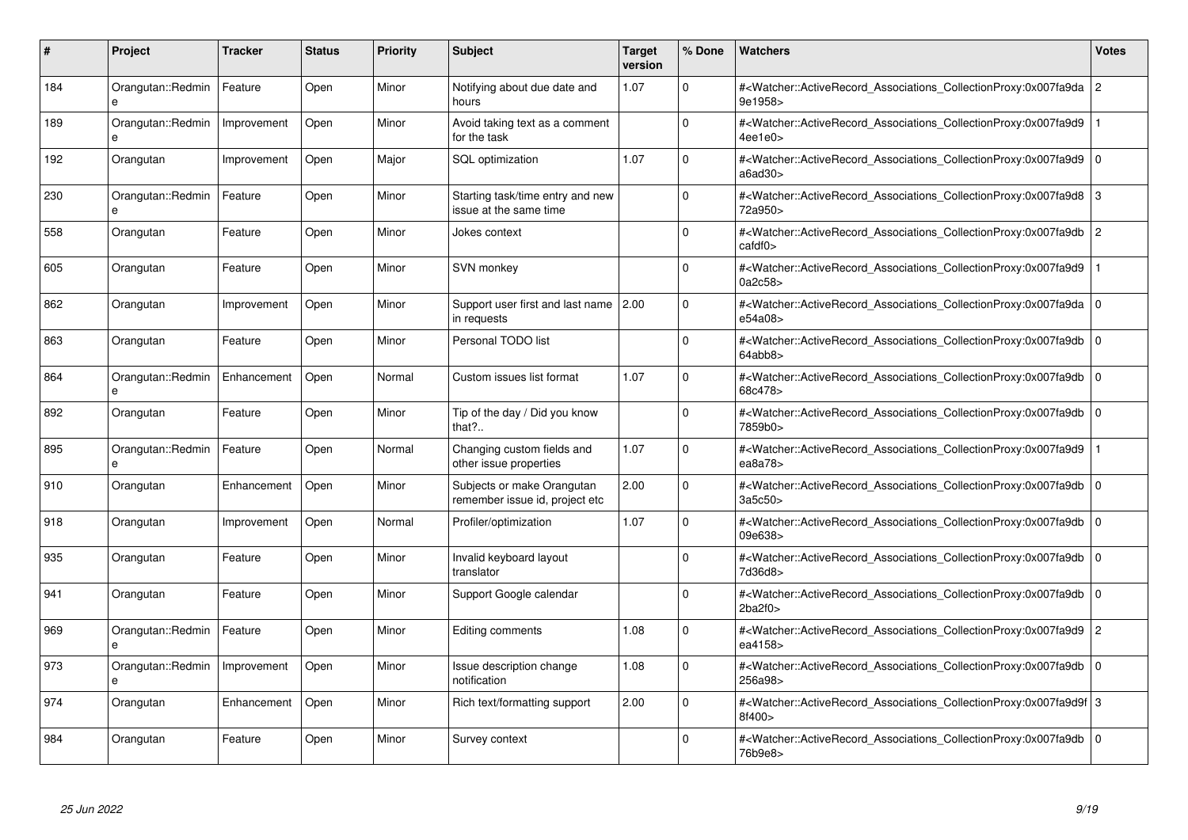| #   | <b>Project</b>                    | <b>Tracker</b> | <b>Status</b> | <b>Priority</b> | <b>Subject</b>                                               | <b>Target</b><br>version | % Done      | <b>Watchers</b>                                                                                                                                                         | <b>Votes</b>   |
|-----|-----------------------------------|----------------|---------------|-----------------|--------------------------------------------------------------|--------------------------|-------------|-------------------------------------------------------------------------------------------------------------------------------------------------------------------------|----------------|
| 184 | Orangutan::Redmin                 | Feature        | Open          | Minor           | Notifying about due date and<br>hours                        | 1.07                     | $\Omega$    | # <watcher::activerecord_associations_collectionproxy:0x007fa9da<br>9e1958&gt;</watcher::activerecord_associations_collectionproxy:0x007fa9da<br>                       | $\overline{2}$ |
| 189 | Orangutan::Redmin<br>e            | Improvement    | Open          | Minor           | Avoid taking text as a comment<br>for the task               |                          | $\Omega$    | # <watcher::activerecord associations="" collectionproxy:0x007fa9d9<br="">4ee1e0</watcher::activerecord>                                                                |                |
| 192 | Orangutan                         | Improvement    | Open          | Major           | <b>SQL</b> optimization                                      | 1.07                     | $\Omega$    | # <watcher::activerecord_associations_collectionproxy:0x007fa9d9<br>a6a<sub>0</sub>30<sub>&gt;</sub></watcher::activerecord_associations_collectionproxy:0x007fa9d9<br> | $\mathbf 0$    |
| 230 | Orangutan::Redmin<br>$\mathbf{a}$ | Feature        | Open          | Minor           | Starting task/time entry and new<br>issue at the same time   |                          | $\Omega$    | # <watcher::activerecord_associations_collectionproxy:0x007fa9d8 3<br="">72a950&gt;</watcher::activerecord_associations_collectionproxy:0x007fa9d8>                     |                |
| 558 | Orangutan                         | Feature        | Open          | Minor           | Jokes context                                                |                          | $\Omega$    | # <watcher::activerecord associations="" collectionproxy:0x007fa9db<br=""><math>c</math>afdf<math>0</math></watcher::activerecord>                                      | $\overline{c}$ |
| 605 | Orangutan                         | Feature        | Open          | Minor           | SVN monkey                                                   |                          | $\mathbf 0$ | # <watcher::activerecord_associations_collectionproxy:0x007fa9d9<br>0a2c58&gt;</watcher::activerecord_associations_collectionproxy:0x007fa9d9<br>                       |                |
| 862 | Orangutan                         | Improvement    | Open          | Minor           | Support user first and last name   2.00<br>in requests       |                          | $\Omega$    | # <watcher::activerecord_associations_collectionproxy:0x007fa9da<br>e54a08&gt;</watcher::activerecord_associations_collectionproxy:0x007fa9da<br>                       | l 0            |
| 863 | Orangutan                         | Feature        | Open          | Minor           | Personal TODO list                                           |                          | $\Omega$    | # <watcher::activerecord 0<br="" associations="" collectionproxy:0x007fa9db=""  ="">64abb8&gt;</watcher::activerecord>                                                  |                |
| 864 | Orangutan::Redmin<br>e            | Enhancement    | Open          | Normal          | Custom issues list format                                    | 1.07                     | $\Omega$    | # <watcher::activerecord_associations_collectionproxy:0x007fa9db<br>68c478&gt;</watcher::activerecord_associations_collectionproxy:0x007fa9db<br>                       | l 0            |
| 892 | Orangutan                         | Feature        | Open          | Minor           | Tip of the day / Did you know<br>that?                       |                          | $\Omega$    | # <watcher::activerecord_associations_collectionproxy:0x007fa9db 0<br=""  ="">7859b0&gt;</watcher::activerecord_associations_collectionproxy:0x007fa9db>                |                |
| 895 | Orangutan::Redmin<br>e            | Feature        | Open          | Normal          | Changing custom fields and<br>other issue properties         | 1.07                     | $\Omega$    | # <watcher::activerecord associations="" collectionproxy:0x007fa9d9<br="">ea8a78&gt;</watcher::activerecord>                                                            |                |
| 910 | Orangutan                         | Enhancement    | Open          | Minor           | Subjects or make Orangutan<br>remember issue id, project etc | 2.00                     | $\Omega$    | # <watcher::activerecord_associations_collectionproxy:0x007fa9db<br>3a5c50&gt;</watcher::activerecord_associations_collectionproxy:0x007fa9db<br>                       | l o            |
| 918 | Orangutan                         | Improvement    | Open          | Normal          | Profiler/optimization                                        | 1.07                     | $\Omega$    | # <watcher::activerecord_associations_collectionproxy:0x007fa9db<br>09e638&gt;</watcher::activerecord_associations_collectionproxy:0x007fa9db<br>                       | $\overline{0}$ |
| 935 | Orangutan                         | Feature        | Open          | Minor           | Invalid keyboard layout<br>translator                        |                          | $\mathbf 0$ | # <watcher::activerecord associations="" collectionproxy:0x007fa9db<br="">7d36d8&gt;</watcher::activerecord>                                                            | $\overline{0}$ |
| 941 | Orangutan                         | Feature        | Open          | Minor           | Support Google calendar                                      |                          | $\mathbf 0$ | # <watcher::activerecord_associations_collectionproxy:0x007fa9db 0<br=""  ="">2ba2f0</watcher::activerecord_associations_collectionproxy:0x007fa9db>                    |                |
| 969 | Orangutan::Redmin<br>$\mathbf{a}$ | Feature        | Open          | Minor           | Editing comments                                             | 1.08                     | $\Omega$    | # <watcher::activerecord_associations_collectionproxy:0x007fa9d9<br>ea4158&gt;</watcher::activerecord_associations_collectionproxy:0x007fa9d9<br>                       | $\overline{2}$ |
| 973 | Orangutan::Redmin<br>e            | Improvement    | Open          | Minor           | Issue description change<br>notification                     | 1.08                     | $\Omega$    | # <watcher::activerecord 0<br="" associations="" collectionproxy:0x007fa9db=""  ="">256a98&gt;</watcher::activerecord>                                                  |                |
| 974 | Orangutan                         | Enhancement    | Open          | Minor           | Rich text/formatting support                                 | 2.00                     | $\Omega$    | # <watcher::activerecord 3<br="" associations="" collectionproxy:0x007fa9d9f="">8f400&gt;</watcher::activerecord>                                                       |                |
| 984 | Orangutan                         | Feature        | Open          | Minor           | Survey context                                               |                          | $\Omega$    | # <watcher::activerecord_associations_collectionproxy:0x007fa9db 0<br=""  ="">76b9e8&gt;</watcher::activerecord_associations_collectionproxy:0x007fa9db>                |                |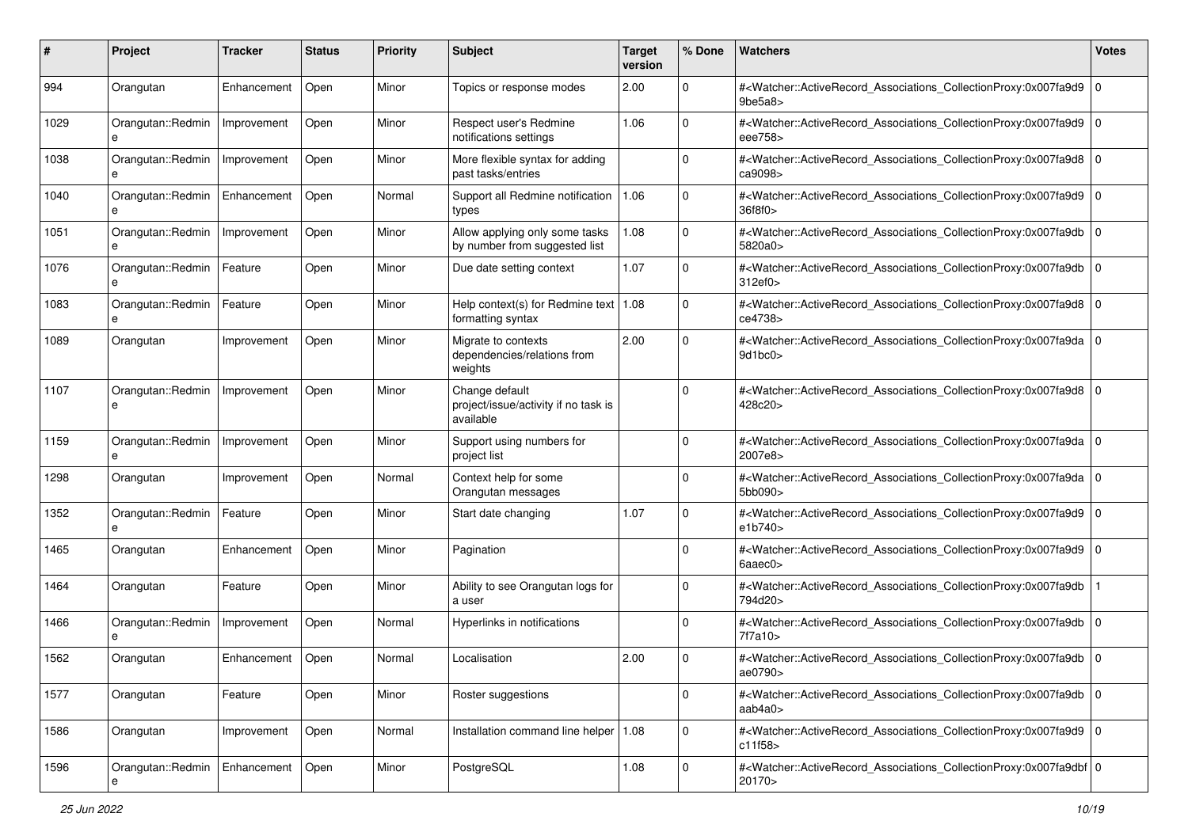| #    | Project                | <b>Tracker</b> | <b>Status</b> | <b>Priority</b> | <b>Subject</b>                                                      | <b>Target</b><br>version | % Done      | <b>Watchers</b>                                                                                                                                                | <b>Votes</b> |
|------|------------------------|----------------|---------------|-----------------|---------------------------------------------------------------------|--------------------------|-------------|----------------------------------------------------------------------------------------------------------------------------------------------------------------|--------------|
| 994  | Orangutan              | Enhancement    | Open          | Minor           | Topics or response modes                                            | 2.00                     | 0           | # <watcher::activerecord_associations_collectionproxy:0x007fa9d9  <br="">9be5a8</watcher::activerecord_associations_collectionproxy:0x007fa9d9>                | l O          |
| 1029 | Orangutan::Redmin<br>e | Improvement    | Open          | Minor           | Respect user's Redmine<br>notifications settings                    | 1.06                     | $\Omega$    | # <watcher::activerecord_associations_collectionproxy:0x007fa9d9 0<br=""  ="">eee758&gt;</watcher::activerecord_associations_collectionproxy:0x007fa9d9>       |              |
| 1038 | Orangutan::Redmin<br>e | Improvement    | Open          | Minor           | More flexible syntax for adding<br>past tasks/entries               |                          | $\Omega$    | # <watcher::activerecord_associations_collectionproxy:0x007fa9d8 0<br=""  ="">ca9098&gt;</watcher::activerecord_associations_collectionproxy:0x007fa9d8>       |              |
| 1040 | Orangutan::Redmin<br>e | Enhancement    | Open          | Normal          | Support all Redmine notification<br>types                           | 1.06                     | $\mathbf 0$ | # <watcher::activerecord_associations_collectionproxy:0x007fa9d9<br>36f8f0&gt;</watcher::activerecord_associations_collectionproxy:0x007fa9d9<br>              | l O          |
| 1051 | Orangutan::Redmin<br>e | Improvement    | Open          | Minor           | Allow applying only some tasks<br>by number from suggested list     | 1.08                     | $\Omega$    | # <watcher::activerecord associations="" collectionproxy:0x007fa9db<br="">5820a0&gt;</watcher::activerecord>                                                   | l O          |
| 1076 | Orangutan::Redmin      | Feature        | Open          | Minor           | Due date setting context                                            | 1.07                     | $\Omega$    | # <watcher::activerecord_associations_collectionproxy:0x007fa9db<br>312ef0&gt;</watcher::activerecord_associations_collectionproxy:0x007fa9db<br>              | l O          |
| 1083 | Orangutan::Redmin<br>e | Feature        | Open          | Minor           | Help context(s) for Redmine text<br>formatting syntax               | 1.08                     | $\mathbf 0$ | # <watcher::activerecord_associations_collectionproxy:0x007fa9d8<br>ce4738&gt;</watcher::activerecord_associations_collectionproxy:0x007fa9d8<br>              | $\mathbf 0$  |
| 1089 | Orangutan              | Improvement    | Open          | Minor           | Migrate to contexts<br>dependencies/relations from<br>weights       | 2.00                     | $\mathbf 0$ | # <watcher::activerecord_associations_collectionproxy:0x007fa9da 0<br=""  ="">9d1bc0</watcher::activerecord_associations_collectionproxy:0x007fa9da>           |              |
| 1107 | Orangutan::Redmin<br>e | Improvement    | Open          | Minor           | Change default<br>project/issue/activity if no task is<br>available |                          | $\mathbf 0$ | # <watcher::activerecord_associations_collectionproxy:0x007fa9d8 0<br=""  ="">428c20&gt;</watcher::activerecord_associations_collectionproxy:0x007fa9d8>       |              |
| 1159 | Orangutan::Redmin<br>e | Improvement    | Open          | Minor           | Support using numbers for<br>project list                           |                          | $\mathbf 0$ | # <watcher::activerecord_associations_collectionproxy:0x007fa9da  <br="">2007e8&gt;</watcher::activerecord_associations_collectionproxy:0x007fa9da>            | l O          |
| 1298 | Orangutan              | Improvement    | Open          | Normal          | Context help for some<br>Orangutan messages                         |                          | $\Omega$    | # <watcher::activerecord_associations_collectionproxy:0x007fa9da  <br="">5bb090&gt;</watcher::activerecord_associations_collectionproxy:0x007fa9da>            | l O          |
| 1352 | Orangutan::Redmin<br>e | Feature        | Open          | Minor           | Start date changing                                                 | 1.07                     | $\Omega$    | # <watcher::activerecord_associations_collectionproxy:0x007fa9d9 0<br=""  ="">e1b740&gt;</watcher::activerecord_associations_collectionproxy:0x007fa9d9>       |              |
| 1465 | Orangutan              | Enhancement    | Open          | Minor           | Pagination                                                          |                          | 0           | # <watcher::activerecord_associations_collectionproxy:0x007fa9d9 0<br="">6aaec0<sub>&gt;</sub></watcher::activerecord_associations_collectionproxy:0x007fa9d9> |              |
| 1464 | Orangutan              | Feature        | Open          | Minor           | Ability to see Orangutan logs for<br>a user                         |                          | $\mathbf 0$ | # <watcher::activerecord_associations_collectionproxy:0x007fa9db<br>794d20&gt;</watcher::activerecord_associations_collectionproxy:0x007fa9db<br>              |              |
| 1466 | Orangutan::Redmin      | Improvement    | Open          | Normal          | Hyperlinks in notifications                                         |                          | $\Omega$    | # <watcher::activerecord_associations_collectionproxy:0x007fa9db<br>7f7a10&gt;</watcher::activerecord_associations_collectionproxy:0x007fa9db<br>              | $\mathbf 0$  |
| 1562 | Orangutan              | Enhancement    | Open          | Normal          | Localisation                                                        | 2.00                     | $\Omega$    | # <watcher::activerecord_associations_collectionproxy:0x007fa9db 0<br="">ae0790&gt;</watcher::activerecord_associations_collectionproxy:0x007fa9db>            |              |
| 1577 | Orangutan              | Feature        | Open          | Minor           | Roster suggestions                                                  |                          | 0           | # <watcher::activerecord_associations_collectionproxy:0x007fa9db 0<br=""  ="">aab4a0&gt;</watcher::activerecord_associations_collectionproxy:0x007fa9db>       |              |
| 1586 | Orangutan              | Improvement    | Open          | Normal          | Installation command line helper   1.08                             |                          | $\mathbf 0$ | # <watcher::activerecord 0<br="" associations="" collectionproxy:0x007fa9d9="">c11f58&gt;</watcher::activerecord>                                              |              |
| 1596 | Orangutan::Redmin      | Enhancement    | Open          | Minor           | PostgreSQL                                                          | 1.08                     | $\mathbf 0$ | # <watcher::activerecord_associations_collectionproxy:0x007fa9dbf 0<br=""  ="">20170&gt;</watcher::activerecord_associations_collectionproxy:0x007fa9dbf>      |              |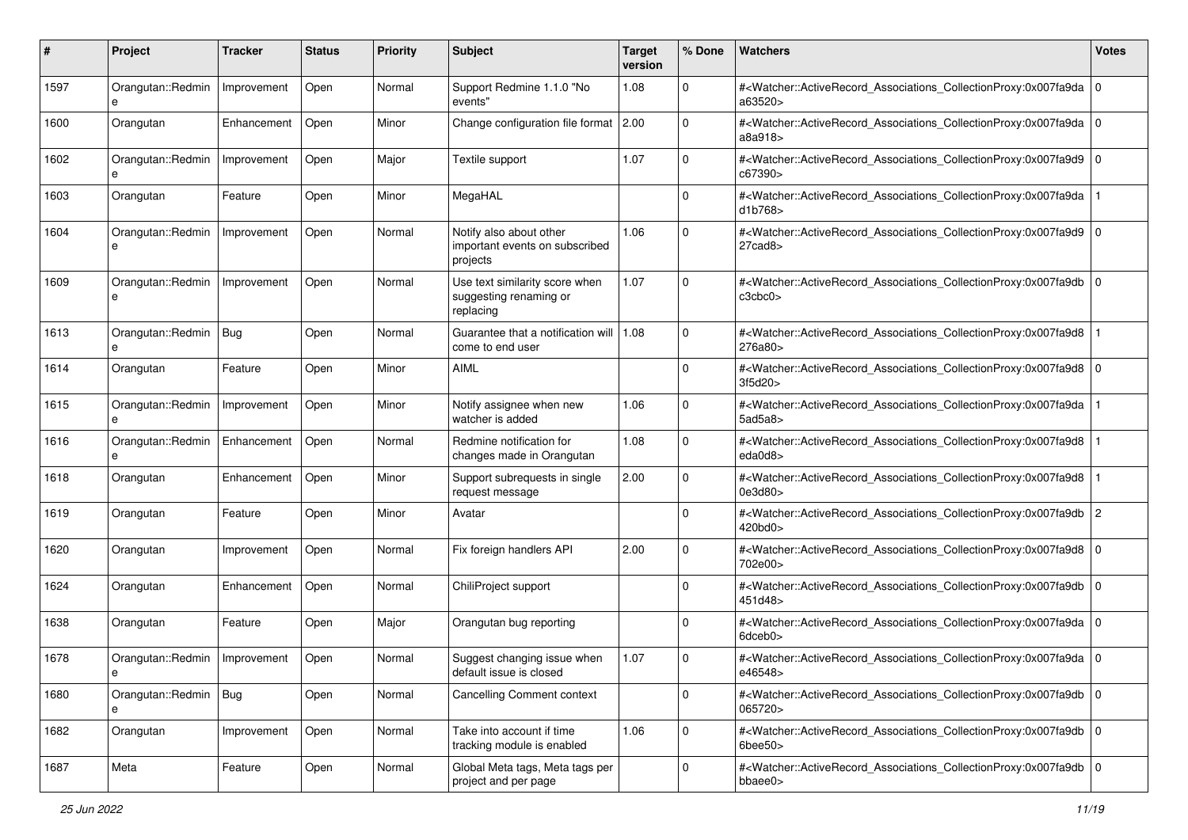| #    | Project                | <b>Tracker</b> | <b>Status</b> | <b>Priority</b> | <b>Subject</b>                                                        | <b>Target</b><br>version | % Done      | <b>Watchers</b>                                                                                                                                                     | <b>Votes</b> |
|------|------------------------|----------------|---------------|-----------------|-----------------------------------------------------------------------|--------------------------|-------------|---------------------------------------------------------------------------------------------------------------------------------------------------------------------|--------------|
| 1597 | Orangutan::Redmin<br>e | Improvement    | Open          | Normal          | Support Redmine 1.1.0 "No<br>events"                                  | 1.08                     | 0           | # <watcher::activerecord_associations_collectionproxy:0x007fa9da 0<br=""  ="">a63520&gt;</watcher::activerecord_associations_collectionproxy:0x007fa9da>            |              |
| 1600 | Orangutan              | Enhancement    | Open          | Minor           | Change configuration file format 2.00                                 |                          | $\Omega$    | # <watcher::activerecord_associations_collectionproxy:0x007fa9da 0<br=""  ="">a8a918&gt;</watcher::activerecord_associations_collectionproxy:0x007fa9da>            |              |
| 1602 | Orangutan::Redmin<br>e | Improvement    | Open          | Major           | Textile support                                                       | 1.07                     | 0           | # <watcher::activerecord_associations_collectionproxy:0x007fa9d9 0<br=""  ="">c67390&gt;</watcher::activerecord_associations_collectionproxy:0x007fa9d9>            |              |
| 1603 | Orangutan              | Feature        | Open          | Minor           | MegaHAL                                                               |                          | $\Omega$    | # <watcher::activerecord_associations_collectionproxy:0x007fa9da<br>d1b768&gt;</watcher::activerecord_associations_collectionproxy:0x007fa9da<br>                   |              |
| 1604 | Orangutan::Redmin<br>e | Improvement    | Open          | Normal          | Notify also about other<br>important events on subscribed<br>projects | 1.06                     | $\Omega$    | # <watcher::activerecord_associations_collectionproxy:0x007fa9d9 0<br=""  ="">27cad8</watcher::activerecord_associations_collectionproxy:0x007fa9d9>                |              |
| 1609 | Orangutan::Redmin<br>e | Improvement    | Open          | Normal          | Use text similarity score when<br>suggesting renaming or<br>replacing | 1.07                     | $\Omega$    | # <watcher::activerecord_associations_collectionproxy:0x007fa9db 0<br=""  ="">c3cbc0&gt;</watcher::activerecord_associations_collectionproxy:0x007fa9db>            |              |
| 1613 | Orangutan::Redmin<br>e | Bug            | Open          | Normal          | Guarantee that a notification will   1.08<br>come to end user         |                          | $\Omega$    | # <watcher::activerecord_associations_collectionproxy:0x007fa9d8<br>276a80&gt;</watcher::activerecord_associations_collectionproxy:0x007fa9d8<br>                   |              |
| 1614 | Orangutan              | Feature        | Open          | Minor           | <b>AIML</b>                                                           |                          | $\Omega$    | # <watcher::activerecord_associations_collectionproxy:0x007fa9d8 0<br="">3f5d20&gt;</watcher::activerecord_associations_collectionproxy:0x007fa9d8>                 |              |
| 1615 | Orangutan::Redmin      | Improvement    | Open          | Minor           | Notify assignee when new<br>watcher is added                          | 1.06                     | 0           | # <watcher::activerecord_associations_collectionproxy:0x007fa9da<br>5a<sub>0</sub>5a<sub>8</sub></watcher::activerecord_associations_collectionproxy:0x007fa9da<br> |              |
| 1616 | Orangutan::Redmin<br>e | Enhancement    | Open          | Normal          | Redmine notification for<br>changes made in Orangutan                 | 1.08                     | 0           | # <watcher::activerecord_associations_collectionproxy:0x007fa9d8<br>eda0d8&gt;</watcher::activerecord_associations_collectionproxy:0x007fa9d8<br>                   |              |
| 1618 | Orangutan              | Enhancement    | Open          | Minor           | Support subrequests in single<br>request message                      | 2.00                     | $\Omega$    | # <watcher::activerecord_associations_collectionproxy:0x007fa9d8<br>0e3d80&gt;</watcher::activerecord_associations_collectionproxy:0x007fa9d8<br>                   |              |
| 1619 | Orangutan              | Feature        | Open          | Minor           | Avatar                                                                |                          | $\Omega$    | # <watcher::activerecord_associations_collectionproxy:0x007fa9db<br>420bd0&gt;</watcher::activerecord_associations_collectionproxy:0x007fa9db<br>                   | 2            |
| 1620 | Orangutan              | Improvement    | Open          | Normal          | Fix foreign handlers API                                              | 2.00                     | $\Omega$    | # <watcher::activerecord_associations_collectionproxy:0x007fa9d8 0<br="">702e00&gt;</watcher::activerecord_associations_collectionproxy:0x007fa9d8>                 |              |
| 1624 | Orangutan              | Enhancement    | Open          | Normal          | ChiliProject support                                                  |                          | 0           | # <watcher::activerecord_associations_collectionproxy:0x007fa9db<br>451d48&gt;</watcher::activerecord_associations_collectionproxy:0x007fa9db<br>                   | 10           |
| 1638 | Orangutan              | Feature        | Open          | Major           | Orangutan bug reporting                                               |                          | $\Omega$    | # <watcher::activerecord_associations_collectionproxy:0x007fa9da 0<br=""  ="">6dceb0&gt;</watcher::activerecord_associations_collectionproxy:0x007fa9da>            |              |
| 1678 | Orangutan::Redmin<br>е | Improvement    | Open          | Normal          | Suggest changing issue when<br>default issue is closed                | 1.07                     | 0           | # <watcher::activerecord_associations_collectionproxy:0x007fa9da 0<br=""  ="">e46548&gt;</watcher::activerecord_associations_collectionproxy:0x007fa9da>            |              |
| 1680 | Orangutan::Redmin<br>e | $\vert$ Bug    | Open          | Normal          | <b>Cancelling Comment context</b>                                     |                          | 0           | # <watcher::activerecord_associations_collectionproxy:0x007fa9db 0<br="">065720&gt;</watcher::activerecord_associations_collectionproxy:0x007fa9db>                 |              |
| 1682 | Orangutan              | Improvement    | Open          | Normal          | Take into account if time<br>tracking module is enabled               | 1.06                     | $\mathbf 0$ | # <watcher::activerecord 0<br="" associations="" collectionproxy:0x007fa9db=""><math>6</math>bee<math>50</math></watcher::activerecord>                             |              |
| 1687 | Meta                   | Feature        | Open          | Normal          | Global Meta tags, Meta tags per<br>project and per page               |                          | $\mathbf 0$ | # <watcher::activerecord_associations_collectionproxy:0x007fa9db 0<br="">bbaee0&gt;</watcher::activerecord_associations_collectionproxy:0x007fa9db>                 |              |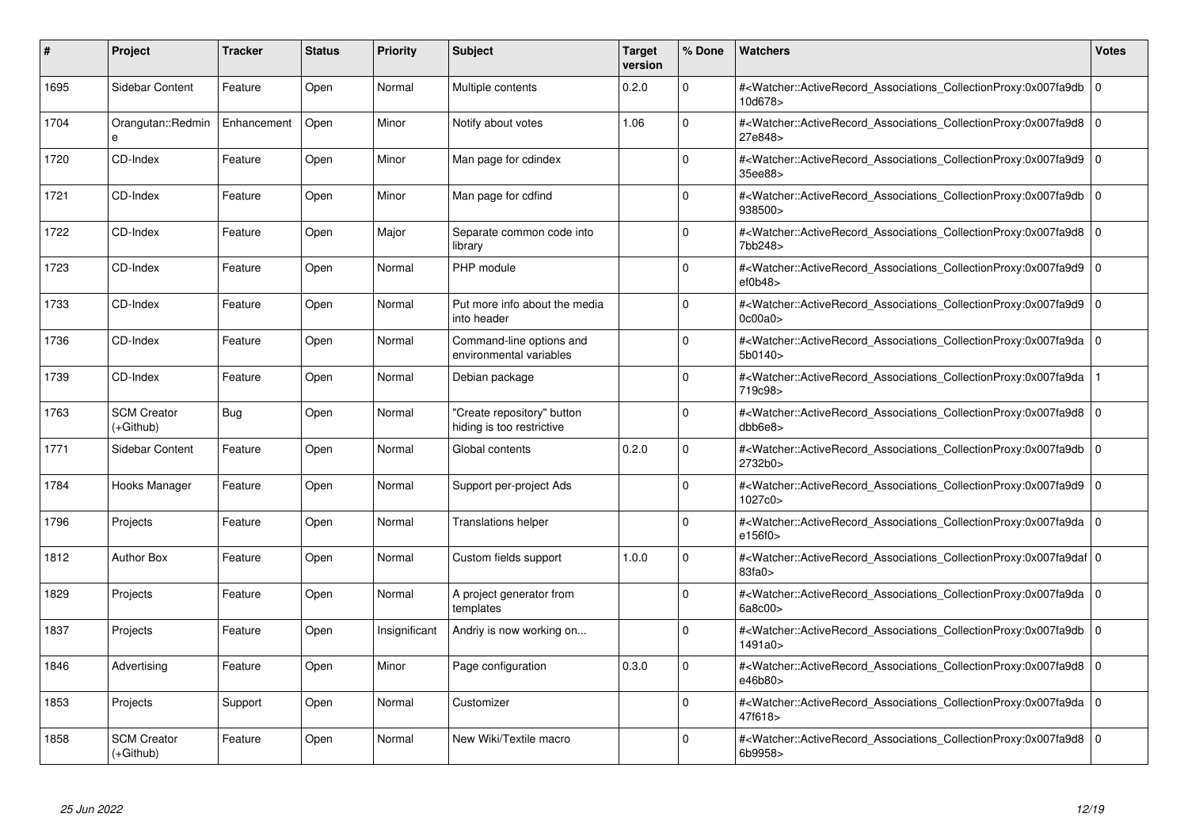| #    | <b>Project</b>                    | <b>Tracker</b> | <b>Status</b> | <b>Priority</b> | <b>Subject</b>                                          | <b>Target</b><br>version | % Done   | <b>Watchers</b>                                                                                                                                          | <b>Votes</b> |
|------|-----------------------------------|----------------|---------------|-----------------|---------------------------------------------------------|--------------------------|----------|----------------------------------------------------------------------------------------------------------------------------------------------------------|--------------|
| 1695 | Sidebar Content                   | Feature        | Open          | Normal          | Multiple contents                                       | 0.2.0                    | $\Omega$ | # <watcher::activerecord associations="" collectionproxy:0x007fa9db<br="">10d678&gt;</watcher::activerecord>                                             | $\mathbf 0$  |
| 1704 | Orangutan::Redmin<br>e            | Enhancement    | Open          | Minor           | Notify about votes                                      | 1.06                     | $\Omega$ | # <watcher::activerecord 0<br="" associations="" collectionproxy:0x007fa9d8=""  ="">27e848&gt;</watcher::activerecord>                                   |              |
| 1720 | CD-Index                          | Feature        | Open          | Minor           | Man page for cdindex                                    |                          | $\Omega$ | # <watcher::activerecord_associations_collectionproxy:0x007fa9d9<br>35ee88&gt;</watcher::activerecord_associations_collectionproxy:0x007fa9d9<br>        | $\Omega$     |
| 1721 | CD-Index                          | Feature        | Open          | Minor           | Man page for cdfind                                     |                          | $\Omega$ | # <watcher::activerecord_associations_collectionproxy:0x007fa9db 0<br="">938500&gt;</watcher::activerecord_associations_collectionproxy:0x007fa9db>      |              |
| 1722 | CD-Index                          | Feature        | Open          | Major           | Separate common code into<br>librarv                    |                          | $\Omega$ | # <watcher::activerecord_associations_collectionproxy:0x007fa9d8  <br="">7bb248&gt;</watcher::activerecord_associations_collectionproxy:0x007fa9d8>      | $\mathbf 0$  |
| 1723 | CD-Index                          | Feature        | Open          | Normal          | PHP module                                              |                          | $\Omega$ | # <watcher::activerecord_associations_collectionproxy:0x007fa9d9 0<br=""  ="">ef0b48</watcher::activerecord_associations_collectionproxy:0x007fa9d9>     |              |
| 1733 | CD-Index                          | Feature        | Open          | Normal          | Put more info about the media<br>into header            |                          | $\Omega$ | # <watcher::activerecord associations="" collectionproxy:0x007fa9d9<br="">0c00a0z</watcher::activerecord>                                                | $\mathbf 0$  |
| 1736 | CD-Index                          | Feature        | Open          | Normal          | Command-line options and<br>environmental variables     |                          | $\Omega$ | # <watcher::activerecord_associations_collectionproxy:0x007fa9da 0<br=""  ="">5b0140&gt;</watcher::activerecord_associations_collectionproxy:0x007fa9da> |              |
| 1739 | CD-Index                          | Feature        | Open          | Normal          | Debian package                                          |                          | $\Omega$ | # <watcher::activerecord associations="" collectionproxy:0x007fa9da<br="">719c98&gt;</watcher::activerecord>                                             |              |
| 1763 | <b>SCM Creator</b><br>(+Github)   | Bug            | Open          | Normal          | 'Create repository" button<br>hiding is too restrictive |                          | $\Omega$ | # <watcher::activerecord 0<br="" associations="" collectionproxy:0x007fa9d8=""  ="">dbb6e8</watcher::activerecord>                                       |              |
| 1771 | Sidebar Content                   | Feature        | Open          | Normal          | Global contents                                         | 0.2.0                    | $\Omega$ | # <watcher::activerecord_associations_collectionproxy:0x007fa9db  <br="">2732b0&gt;</watcher::activerecord_associations_collectionproxy:0x007fa9db>      | $\Omega$     |
| 1784 | Hooks Manager                     | Feature        | Open          | Normal          | Support per-project Ads                                 |                          | $\Omega$ | # <watcher::activerecord associations="" collectionproxy:0x007fa9d9=""  <br="">1027c0&gt;</watcher::activerecord>                                        | $\mathbf 0$  |
| 1796 | Projects                          | Feature        | Open          | Normal          | <b>Translations helper</b>                              |                          | $\Omega$ | # <watcher::activerecord 0<br="" associations="" collectionproxy:0x007fa9da=""  ="">e156f0&gt;</watcher::activerecord>                                   |              |
| 1812 | <b>Author Box</b>                 | Feature        | Open          | Normal          | Custom fields support                                   | 1.0.0                    | $\Omega$ | # <watcher::activerecord_associations_collectionproxy:0x007fa9daf 0<br=""  ="">83fa0</watcher::activerecord_associations_collectionproxy:0x007fa9daf>    |              |
| 1829 | Projects                          | Feature        | Open          | Normal          | A project generator from<br>templates                   |                          | $\Omega$ | # <watcher::activerecord 0<br="" associations="" collectionproxy:0x007fa9da=""  ="">6a8c00&gt;</watcher::activerecord>                                   |              |
| 1837 | Projects                          | Feature        | Open          | Insignificant   | Andriy is now working on                                |                          | $\Omega$ | # <watcher::activerecord_associations_collectionproxy:0x007fa9db  <br="">1491a0&gt;</watcher::activerecord_associations_collectionproxy:0x007fa9db>      | $\mathbf 0$  |
| 1846 | Advertising                       | Feature        | Open          | Minor           | Page configuration                                      | 0.3.0                    | $\Omega$ | # <watcher::activerecord_associations_collectionproxy:0x007fa9d8 0<br=""  ="">e46b80&gt;</watcher::activerecord_associations_collectionproxy:0x007fa9d8> |              |
| 1853 | Projects                          | Support        | Open          | Normal          | Customizer                                              |                          | $\Omega$ | # <watcher::activerecord 0<br="" associations="" collectionproxy:0x007fa9da=""  ="">47f618&gt;</watcher::activerecord>                                   |              |
| 1858 | <b>SCM Creator</b><br>$(+Github)$ | Feature        | Open          | Normal          | New Wiki/Textile macro                                  |                          | $\Omega$ | # <watcher::activerecord_associations_collectionproxy:0x007fa9d8 0<br=""  ="">6b9958&gt;</watcher::activerecord_associations_collectionproxy:0x007fa9d8> |              |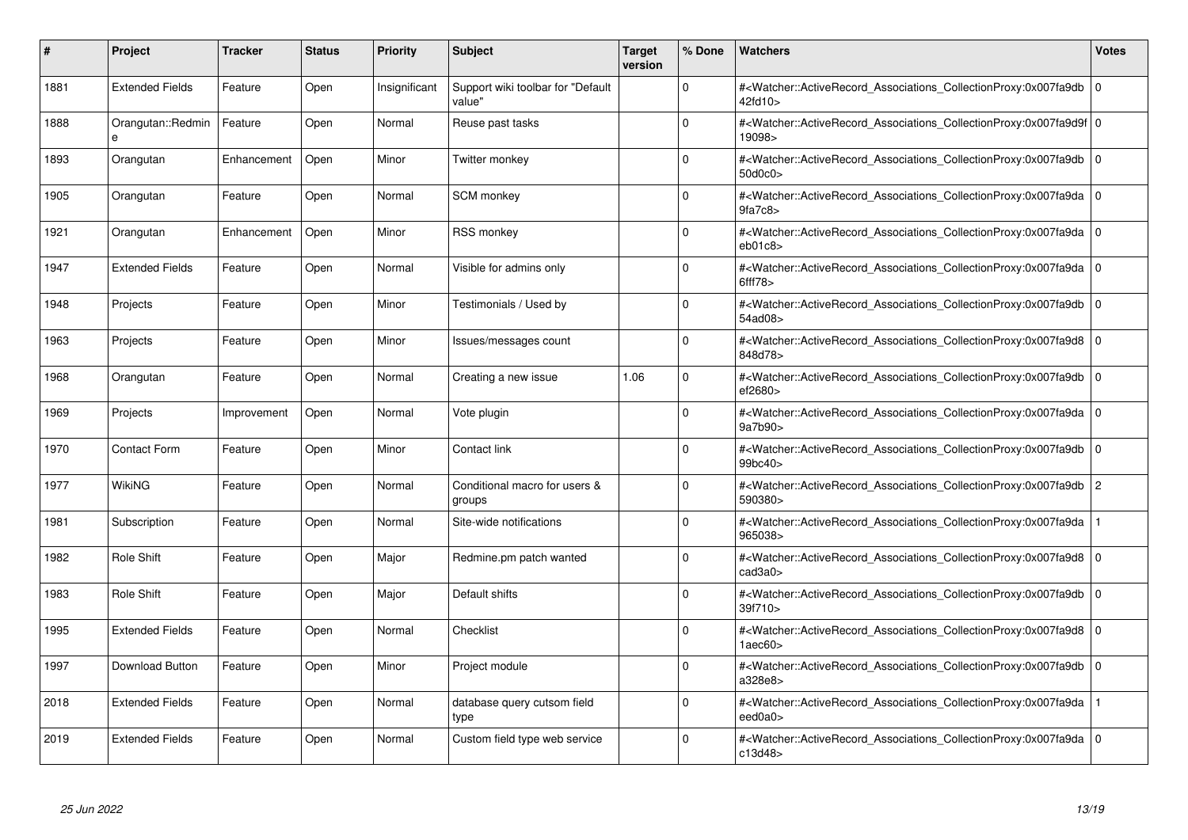| #    | <b>Project</b>         | <b>Tracker</b> | <b>Status</b> | <b>Priority</b> | <b>Subject</b>                               | <b>Target</b><br>version | % Done   | <b>Watchers</b>                                                                                                                                                           | <b>Votes</b> |
|------|------------------------|----------------|---------------|-----------------|----------------------------------------------|--------------------------|----------|---------------------------------------------------------------------------------------------------------------------------------------------------------------------------|--------------|
| 1881 | <b>Extended Fields</b> | Feature        | Open          | Insignificant   | Support wiki toolbar for "Default"<br>value" |                          | $\Omega$ | # <watcher::activerecord associations="" collectionproxy:0x007fa9db<br="">42fd10&gt;</watcher::activerecord>                                                              | $\mathbf 0$  |
| 1888 | Orangutan::Redmin<br>e | Feature        | Open          | Normal          | Reuse past tasks                             |                          | $\Omega$ | # <watcher::activerecord 0<br="" associations="" collectionproxy:0x007fa9d9f=""  ="">19098&gt;</watcher::activerecord>                                                    |              |
| 1893 | Orangutan              | Enhancement    | Open          | Minor           | Twitter monkey                               |                          | $\Omega$ | # <watcher::activerecord_associations_collectionproxy:0x007fa9db<br>50d0c0&gt;</watcher::activerecord_associations_collectionproxy:0x007fa9db<br>                         | $\Omega$     |
| 1905 | Orangutan              | Feature        | Open          | Normal          | SCM monkey                                   |                          | $\Omega$ | # <watcher::activerecord_associations_collectionproxy:0x007fa9da 0<br="">9fa7c8</watcher::activerecord_associations_collectionproxy:0x007fa9da>                           |              |
| 1921 | Orangutan              | Enhancement    | Open          | Minor           | <b>RSS monkey</b>                            |                          | $\Omega$ | # <watcher::activerecord_associations_collectionproxy:0x007fa9da 0<br=""  ="">eb01c8</watcher::activerecord_associations_collectionproxy:0x007fa9da>                      |              |
| 1947 | <b>Extended Fields</b> | Feature        | Open          | Normal          | Visible for admins only                      |                          | $\Omega$ | # <watcher::activerecord_associations_collectionproxy:0x007fa9da 0<br=""  ="">6ff78</watcher::activerecord_associations_collectionproxy:0x007fa9da>                       |              |
| 1948 | Projects               | Feature        | Open          | Minor           | Testimonials / Used by                       |                          | $\Omega$ | # <watcher::activerecord associations="" collectionproxy:0x007fa9db<br="">54ad08&gt;</watcher::activerecord>                                                              | $\mathbf 0$  |
| 1963 | Projects               | Feature        | Open          | Minor           | lssues/messages count                        |                          | $\Omega$ | # <watcher::activerecord_associations_collectionproxy:0x007fa9d8 0<br=""  ="">848d78&gt;</watcher::activerecord_associations_collectionproxy:0x007fa9d8>                  |              |
| 1968 | Orangutan              | Feature        | Open          | Normal          | Creating a new issue                         | 1.06                     | $\Omega$ | # <watcher::activerecord associations="" collectionproxy:0x007fa9db<br="">ef2680&gt;</watcher::activerecord>                                                              | $\mathbf 0$  |
| 1969 | Projects               | Improvement    | Open          | Normal          | Vote plugin                                  |                          | $\Omega$ | # <watcher::activerecord 0<br="" associations="" collectionproxy:0x007fa9da=""  ="">9a7b90&gt;</watcher::activerecord>                                                    |              |
| 1970 | <b>Contact Form</b>    | Feature        | Open          | Minor           | Contact link                                 |                          | $\Omega$ | # <watcher::activerecord associations="" collectionproxy:0x007fa9db<br="">99bc40&gt;</watcher::activerecord>                                                              | $\Omega$     |
| 1977 | WikiNG                 | Feature        | Open          | Normal          | Conditional macro for users &<br>groups      |                          | $\Omega$ | # <watcher::activerecord associations="" collectionproxy:0x007fa9db=""  <br="">590380&gt;</watcher::activerecord>                                                         | 2            |
| 1981 | Subscription           | Feature        | Open          | Normal          | Site-wide notifications                      |                          | $\Omega$ | # <watcher::activerecord associations="" collectionproxy:0x007fa9da<br="">965038&gt;</watcher::activerecord>                                                              |              |
| 1982 | Role Shift             | Feature        | Open          | Major           | Redmine.pm patch wanted                      |                          | $\Omega$ | # <watcher::activerecord_associations_collectionproxy:0x007fa9d8  <br=""><math>c</math>ad<math>3a0</math></watcher::activerecord_associations_collectionproxy:0x007fa9d8> | $\Omega$     |
| 1983 | Role Shift             | Feature        | Open          | Major           | Default shifts                               |                          | $\Omega$ | # <watcher::activerecord associations="" collectionproxy:0x007fa9db=""  <br="">39f710&gt;</watcher::activerecord>                                                         | $\mathbf 0$  |
| 1995 | <b>Extended Fields</b> | Feature        | Open          | Normal          | Checklist                                    |                          | $\Omega$ | # <watcher::activerecord_associations_collectionproxy:0x007fa9d8 0<br=""  ="">1aec60&gt;</watcher::activerecord_associations_collectionproxy:0x007fa9d8>                  |              |
| 1997 | Download Button        | Feature        | Open          | Minor           | Project module                               |                          | $\Omega$ | # <watcher::activerecord_associations_collectionproxy:0x007fa9db<br>a328e8&gt;</watcher::activerecord_associations_collectionproxy:0x007fa9db<br>                         | $\mathbf 0$  |
| 2018 | <b>Extended Fields</b> | Feature        | Open          | Normal          | database query cutsom field<br>type          |                          | $\Omega$ | # <watcher::activerecord associations="" collectionproxy:0x007fa9da<br="">eed0a0&gt;</watcher::activerecord>                                                              |              |
| 2019 | <b>Extended Fields</b> | Feature        | Open          | Normal          | Custom field type web service                |                          | $\Omega$ | # <watcher::activerecord_associations_collectionproxy:0x007fa9da 0<br=""  ="">c13d48&gt;</watcher::activerecord_associations_collectionproxy:0x007fa9da>                  |              |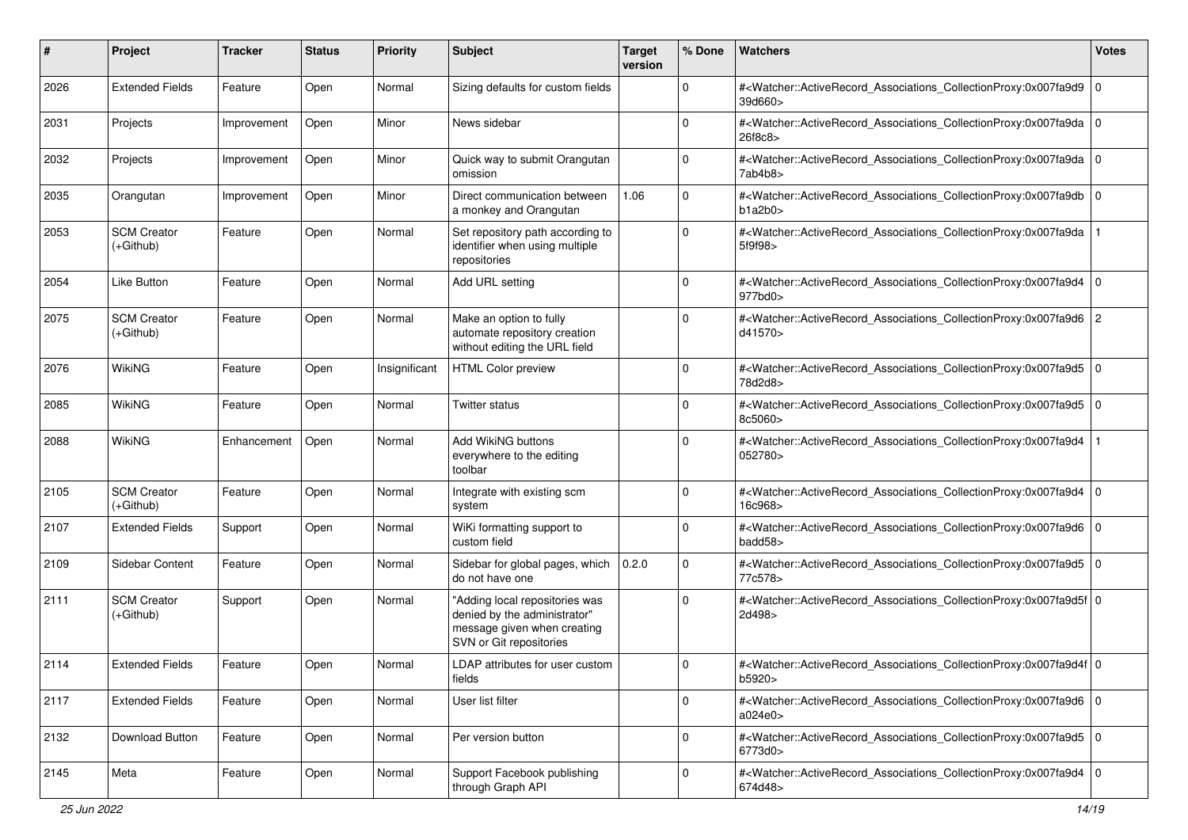| #    | Project                           | <b>Tracker</b> | <b>Status</b> | <b>Priority</b> | Subject                                                                                                                  | <b>Target</b><br>version | % Done      | Watchers                                                                                                                                                  | <b>Votes</b> |
|------|-----------------------------------|----------------|---------------|-----------------|--------------------------------------------------------------------------------------------------------------------------|--------------------------|-------------|-----------------------------------------------------------------------------------------------------------------------------------------------------------|--------------|
| 2026 | <b>Extended Fields</b>            | Feature        | Open          | Normal          | Sizing defaults for custom fields                                                                                        |                          | $\mathbf 0$ | # <watcher::activerecord_associations_collectionproxy:0x007fa9d9 0<br="">39d660&gt;</watcher::activerecord_associations_collectionproxy:0x007fa9d9>       |              |
| 2031 | Projects                          | Improvement    | Open          | Minor           | News sidebar                                                                                                             |                          | $\mathbf 0$ | # <watcher::activerecord_associations_collectionproxy:0x007fa9da 0<br="">26f8c8&gt;</watcher::activerecord_associations_collectionproxy:0x007fa9da>       |              |
| 2032 | Projects                          | Improvement    | Open          | Minor           | Quick way to submit Orangutan<br>omission                                                                                |                          | $\mathbf 0$ | # <watcher::activerecord_associations_collectionproxy:0x007fa9da 0<br="">7ab4b8&gt;</watcher::activerecord_associations_collectionproxy:0x007fa9da>       |              |
| 2035 | Orangutan                         | Improvement    | Open          | Minor           | Direct communication between<br>a monkey and Orangutan                                                                   | 1.06                     | $\mathbf 0$ | # <watcher::activerecord_associations_collectionproxy:0x007fa9db 0<br="">b1a2b0&gt;</watcher::activerecord_associations_collectionproxy:0x007fa9db>       |              |
| 2053 | <b>SCM Creator</b><br>$(+Github)$ | Feature        | Open          | Normal          | Set repository path according to<br>identifier when using multiple<br>repositories                                       |                          | $\mathbf 0$ | # <watcher::activerecord_associations_collectionproxy:0x007fa9da<br>5f9f98&gt;</watcher::activerecord_associations_collectionproxy:0x007fa9da<br>         |              |
| 2054 | <b>Like Button</b>                | Feature        | Open          | Normal          | Add URL setting                                                                                                          |                          | $\mathbf 0$ | # <watcher::activerecord_associations_collectionproxy:0x007fa9d4 0<br=""  ="">977bd0&gt;</watcher::activerecord_associations_collectionproxy:0x007fa9d4>  |              |
| 2075 | <b>SCM Creator</b><br>$(+Github)$ | Feature        | Open          | Normal          | Make an option to fully<br>automate repository creation<br>without editing the URL field                                 |                          | $\Omega$    | # <watcher::activerecord_associations_collectionproxy:0x007fa9d6 2<br="">d41570&gt;</watcher::activerecord_associations_collectionproxy:0x007fa9d6>       |              |
| 2076 | <b>WikiNG</b>                     | Feature        | Open          | Insignificant   | <b>HTML Color preview</b>                                                                                                |                          | $\Omega$    | # <watcher::activerecord_associations_collectionproxy:0x007fa9d5 0<br=""  ="">78d2d8&gt;</watcher::activerecord_associations_collectionproxy:0x007fa9d5>  |              |
| 2085 | <b>WikiNG</b>                     | Feature        | Open          | Normal          | Twitter status                                                                                                           |                          | $\Omega$    | # <watcher::activerecord_associations_collectionproxy:0x007fa9d5 0<br=""  ="">8c5060&gt;</watcher::activerecord_associations_collectionproxy:0x007fa9d5>  |              |
| 2088 | <b>WikiNG</b>                     | Enhancement    | Open          | Normal          | Add WikiNG buttons<br>everywhere to the editing<br>toolbar                                                               |                          | $\Omega$    | # <watcher::activerecord_associations_collectionproxy:0x007fa9d4<br>052780&gt;</watcher::activerecord_associations_collectionproxy:0x007fa9d4<br>         |              |
| 2105 | <b>SCM Creator</b><br>$(+Github)$ | Feature        | Open          | Normal          | Integrate with existing scm<br>system                                                                                    |                          | $\mathbf 0$ | # <watcher::activerecord_associations_collectionproxy:0x007fa9d4 0<br="">16c968&gt;</watcher::activerecord_associations_collectionproxy:0x007fa9d4>       |              |
| 2107 | <b>Extended Fields</b>            | Support        | Open          | Normal          | WiKi formatting support to<br>custom field                                                                               |                          | $\mathbf 0$ | # <watcher::activerecord_associations_collectionproxy:0x007fa9d6 0<br="">badd58&gt;</watcher::activerecord_associations_collectionproxy:0x007fa9d6>       |              |
| 2109 | Sidebar Content                   | Feature        | Open          | Normal          | Sidebar for global pages, which<br>do not have one                                                                       | 0.2.0                    | $\mathbf 0$ | # <watcher::activerecord_associations_collectionproxy:0x007fa9d5 0<br=""  ="">77c578&gt;</watcher::activerecord_associations_collectionproxy:0x007fa9d5>  |              |
| 2111 | <b>SCM Creator</b><br>$(+Github)$ | Support        | Open          | Normal          | "Adding local repositories was<br>denied by the administrator"<br>message given when creating<br>SVN or Git repositories |                          | $\Omega$    | # <watcher::activerecord_associations_collectionproxy:0x007fa9d5f 0<br=""  ="">2d498&gt;</watcher::activerecord_associations_collectionproxy:0x007fa9d5f> |              |
| 2114 | <b>Extended Fields</b>            | Feature        | Open          | Normal          | LDAP attributes for user custom<br>fields                                                                                |                          | $\Omega$    | # <watcher::activerecord_associations_collectionproxy:0x007fa9d4f 0<br="">b5920&gt;</watcher::activerecord_associations_collectionproxy:0x007fa9d4f>      |              |
| 2117 | <b>Extended Fields</b>            | Feature        | Open          | Normal          | User list filter                                                                                                         |                          | 0           | # <watcher::activerecord_associations_collectionproxy:0x007fa9d6 0<br=""  ="">a024e0&gt;</watcher::activerecord_associations_collectionproxy:0x007fa9d6>  |              |
| 2132 | Download Button                   | Feature        | Open          | Normal          | Per version button                                                                                                       |                          | $\mathbf 0$ | # <watcher::activerecord_associations_collectionproxy:0x007fa9d5 0<br="">6773d0&gt;</watcher::activerecord_associations_collectionproxy:0x007fa9d5>       |              |
| 2145 | Meta                              | Feature        | Open          | Normal          | Support Facebook publishing<br>through Graph API                                                                         |                          | 0           | # <watcher::activerecord_associations_collectionproxy:0x007fa9d4 0<br="">674d48&gt;</watcher::activerecord_associations_collectionproxy:0x007fa9d4>       |              |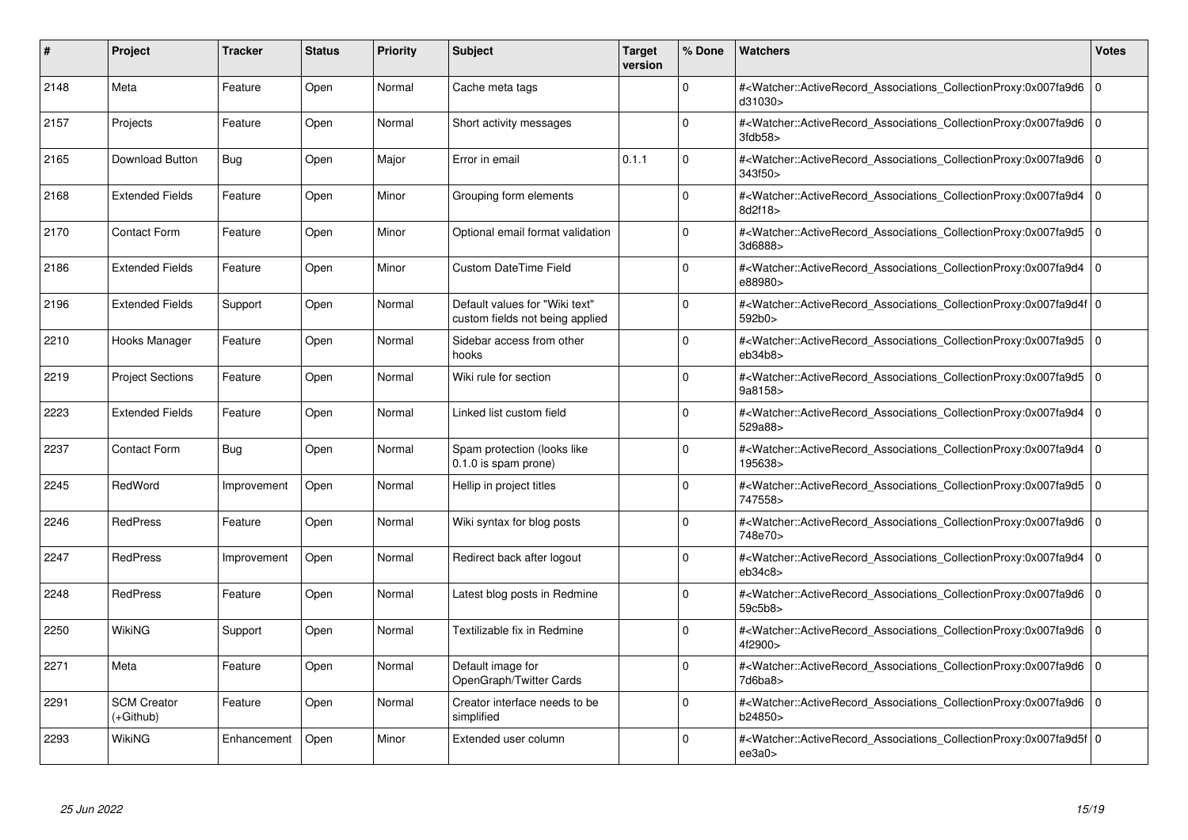| #    | Project                         | <b>Tracker</b> | <b>Status</b> | <b>Priority</b> | <b>Subject</b>                                                    | <b>Target</b><br>version | % Done   | <b>Watchers</b>                                                                                                                                                                     | <b>Votes</b> |
|------|---------------------------------|----------------|---------------|-----------------|-------------------------------------------------------------------|--------------------------|----------|-------------------------------------------------------------------------------------------------------------------------------------------------------------------------------------|--------------|
| 2148 | Meta                            | Feature        | Open          | Normal          | Cache meta tags                                                   |                          | $\Omega$ | # <watcher::activerecord associations="" collectionproxy:0x007fa9d6<br="">d31030&gt;</watcher::activerecord>                                                                        | $\mathbf 0$  |
| 2157 | Projects                        | Feature        | Open          | Normal          | Short activity messages                                           |                          | $\Omega$ | # <watcher::activerecord_associations_collectionproxy:0x007fa9d6 0<br=""  ="">3fdb58</watcher::activerecord_associations_collectionproxy:0x007fa9d6>                                |              |
| 2165 | <b>Download Button</b>          | Bug            | Open          | Major           | Error in email                                                    | 0.1.1                    | $\Omega$ | # <watcher::activerecord 0<br="" associations="" collectionproxy:0x007fa9d6=""  ="">343f50 &gt;</watcher::activerecord>                                                             |              |
| 2168 | <b>Extended Fields</b>          | Feature        | Open          | Minor           | Grouping form elements                                            |                          | $\Omega$ | # <watcher::activerecord associations="" collectionproxy:0x007fa9d4=""  <br="">8d2f18&gt;</watcher::activerecord>                                                                   | $\mathbf 0$  |
| 2170 | <b>Contact Form</b>             | Feature        | Open          | Minor           | Optional email format validation                                  |                          | $\Omega$ | # <watcher::activerecord_associations_collectionproxy:0x007fa9d5 0<br=""  ="">3d6888&gt;</watcher::activerecord_associations_collectionproxy:0x007fa9d5>                            |              |
| 2186 | <b>Extended Fields</b>          | Feature        | Open          | Minor           | <b>Custom DateTime Field</b>                                      |                          | $\Omega$ | # <watcher::activerecord associations="" collectionproxy:0x007fa9d4<br="">e88980&gt;</watcher::activerecord>                                                                        | $\Omega$     |
| 2196 | <b>Extended Fields</b>          | Support        | Open          | Normal          | Default values for "Wiki text"<br>custom fields not being applied |                          | $\Omega$ | # <watcher::activerecord_associations_collectionproxy:0x007fa9d4f 0<br=""  ="">592b0&gt;</watcher::activerecord_associations_collectionproxy:0x007fa9d4f>                           |              |
| 2210 | Hooks Manager                   | Feature        | Open          | Normal          | Sidebar access from other<br>hooks                                |                          | $\Omega$ | # <watcher::activerecord 0<br="" associations="" collectionproxy:0x007fa9d5=""  ="">eb34b8</watcher::activerecord>                                                                  |              |
| 2219 | <b>Project Sections</b>         | Feature        | Open          | Normal          | Wiki rule for section                                             |                          | $\Omega$ | # <watcher::activerecord_associations_collectionproxy:0x007fa9d5 0<br=""  ="">9a8158&gt;</watcher::activerecord_associations_collectionproxy:0x007fa9d5>                            |              |
| 2223 | <b>Extended Fields</b>          | Feature        | Open          | Normal          | Linked list custom field                                          |                          | $\Omega$ | # <watcher::activerecord_associations_collectionproxy:0x007fa9d4<br>529a88&gt;</watcher::activerecord_associations_collectionproxy:0x007fa9d4<br>                                   | $\Omega$     |
| 2237 | <b>Contact Form</b>             | Bug            | Open          | Normal          | Spam protection (looks like<br>0.1.0 is spam prone)               |                          | $\Omega$ | # <watcher::activerecord 0<br="" associations="" collectionproxy:0x007fa9d4=""  ="">195638&gt;</watcher::activerecord>                                                              |              |
| 2245 | RedWord                         | Improvement    | Open          | Normal          | Hellip in project titles                                          |                          | $\Omega$ | # <watcher::activerecord_associations_collectionproxy:0x007fa9d5 0<br=""  ="">747558&gt;</watcher::activerecord_associations_collectionproxy:0x007fa9d5>                            |              |
| 2246 | <b>RedPress</b>                 | Feature        | Open          | Normal          | Wiki syntax for blog posts                                        |                          | $\Omega$ | # <watcher::activerecord 0<br="" associations="" collectionproxy:0x007fa9d6=""  ="">748e70&gt;</watcher::activerecord>                                                              |              |
| 2247 | <b>RedPress</b>                 | Improvement    | Open          | Normal          | Redirect back after logout                                        |                          | $\Omega$ | # <watcher::activerecord_associations_collectionproxy:0x007fa9d4<br>eb34c8</watcher::activerecord_associations_collectionproxy:0x007fa9d4<br>                                       | $\mathbf 0$  |
| 2248 | <b>RedPress</b>                 | Feature        | Open          | Normal          | Latest blog posts in Redmine                                      |                          | $\Omega$ | # <watcher::activerecord_associations_collectionproxy:0x007fa9d6 0<br=""  ="">59c5b8&gt;</watcher::activerecord_associations_collectionproxy:0x007fa9d6>                            |              |
| 2250 | WikiNG                          | Support        | Open          | Normal          | Textilizable fix in Redmine                                       |                          | $\Omega$ | # <watcher::activerecord 0<br="" associations="" collectionproxy:0x007fa9d6=""  ="">4f2900&gt;</watcher::activerecord>                                                              |              |
| 2271 | Meta                            | Feature        | Open          | Normal          | Default image for<br>OpenGraph/Twitter Cards                      |                          | $\Omega$ | # <watcher::activerecord 0<br="" associations="" collectionproxy:0x007fa9d6=""  ="">7d6ba8&gt;</watcher::activerecord>                                                              |              |
| 2291 | <b>SCM Creator</b><br>(+Github) | Feature        | Open          | Normal          | Creator interface needs to be<br>simplified                       |                          | $\Omega$ | # <watcher::activerecord 0<br="" associations="" collectionproxy:0x007fa9d6=""  ="">b24850&gt;</watcher::activerecord>                                                              |              |
| 2293 | WikiNG                          | Enhancement    | Open          | Minor           | Extended user column                                              |                          | $\Omega$ | # <watcher::activerecord_associations_collectionproxy:0x007fa9d5f 0<br=""  =""><math>ee</math>3a0<math>&gt;</math></watcher::activerecord_associations_collectionproxy:0x007fa9d5f> |              |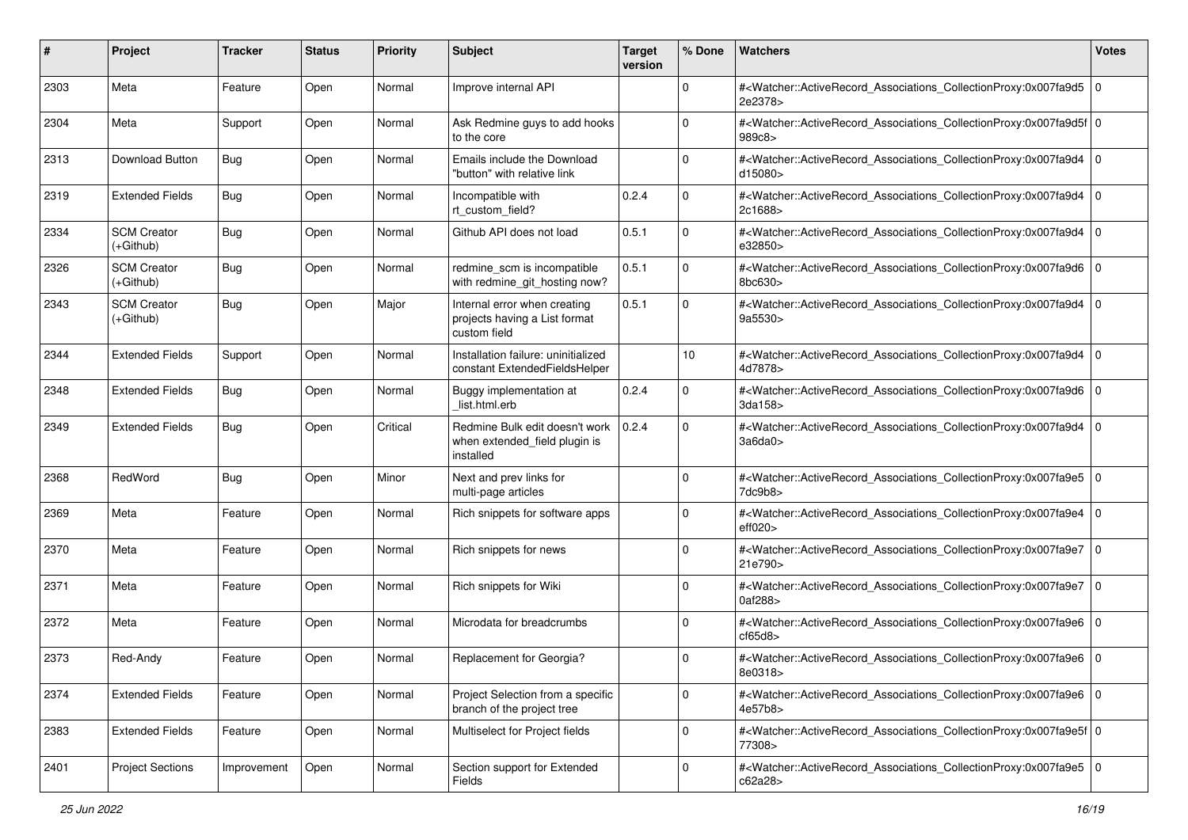| #    | Project                           | <b>Tracker</b> | <b>Status</b> | <b>Priority</b> | <b>Subject</b>                                                                | <b>Target</b><br>version | % Done      | <b>Watchers</b>                                                                                                                                           | <b>Votes</b> |
|------|-----------------------------------|----------------|---------------|-----------------|-------------------------------------------------------------------------------|--------------------------|-------------|-----------------------------------------------------------------------------------------------------------------------------------------------------------|--------------|
| 2303 | Meta                              | Feature        | Open          | Normal          | Improve internal API                                                          |                          | 0           | # <watcher::activerecord_associations_collectionproxy:0x007fa9d5<br>2e2378&gt;</watcher::activerecord_associations_collectionproxy:0x007fa9d5<br>         | l O          |
| 2304 | Meta                              | Support        | Open          | Normal          | Ask Redmine guys to add hooks<br>to the core                                  |                          | $\Omega$    | # <watcher::activerecord_associations_collectionproxy:0x007fa9d5f 0<br=""  ="">989c8&gt;</watcher::activerecord_associations_collectionproxy:0x007fa9d5f> |              |
| 2313 | Download Button                   | Bug            | Open          | Normal          | Emails include the Download<br>"button" with relative link                    |                          | $\Omega$    | # <watcher::activerecord_associations_collectionproxy:0x007fa9d4 0<br=""  ="">d15080&gt;</watcher::activerecord_associations_collectionproxy:0x007fa9d4>  |              |
| 2319 | <b>Extended Fields</b>            | Bug            | Open          | Normal          | Incompatible with<br>rt custom field?                                         | 0.2.4                    | $\mathbf 0$ | # <watcher::activerecord_associations_collectionproxy:0x007fa9d4<br>2c1688&gt;</watcher::activerecord_associations_collectionproxy:0x007fa9d4<br>         | $\mathbf 0$  |
| 2334 | <b>SCM Creator</b><br>$(+Github)$ | <b>Bug</b>     | Open          | Normal          | Github API does not load                                                      | 0.5.1                    | $\mathbf 0$ | # <watcher::activerecord_associations_collectionproxy:0x007fa9d4<br>e32850&gt;</watcher::activerecord_associations_collectionproxy:0x007fa9d4<br>         | l O          |
| 2326 | <b>SCM Creator</b><br>(+Github)   | Bug            | Open          | Normal          | redmine_scm is incompatible<br>with redmine_git_hosting now?                  | 0.5.1                    | $\mathbf 0$ | # <watcher::activerecord_associations_collectionproxy:0x007fa9d6 0<br=""  ="">8bc630&gt;</watcher::activerecord_associations_collectionproxy:0x007fa9d6>  |              |
| 2343 | <b>SCM Creator</b><br>$(+Github)$ | Bug            | Open          | Major           | Internal error when creating<br>projects having a List format<br>custom field | 0.5.1                    | 0           | # <watcher::activerecord_associations_collectionproxy:0x007fa9d4<br>9a5530&gt;</watcher::activerecord_associations_collectionproxy:0x007fa9d4<br>         | l O          |
| 2344 | <b>Extended Fields</b>            | Support        | Open          | Normal          | Installation failure: uninitialized<br>constant ExtendedFieldsHelper          |                          | 10          | # <watcher::activerecord_associations_collectionproxy:0x007fa9d4<br>4d7878&gt;</watcher::activerecord_associations_collectionproxy:0x007fa9d4<br>         | $\mathbf 0$  |
| 2348 | <b>Extended Fields</b>            | Bug            | Open          | Normal          | Buggy implementation at<br>list.html.erb                                      | 0.2.4                    | $\mathbf 0$ | # <watcher::activerecord_associations_collectionproxy:0x007fa9d6 0<br=""  ="">3da158&gt;</watcher::activerecord_associations_collectionproxy:0x007fa9d6>  |              |
| 2349 | <b>Extended Fields</b>            | <b>Bug</b>     | Open          | Critical        | Redmine Bulk edit doesn't work<br>when extended_field plugin is<br>installed  | 0.2.4                    | $\Omega$    | # <watcher::activerecord_associations_collectionproxy:0x007fa9d4<br>3a6da0&gt;</watcher::activerecord_associations_collectionproxy:0x007fa9d4<br>         | $\mathbf 0$  |
| 2368 | RedWord                           | Bug            | Open          | Minor           | Next and prev links for<br>multi-page articles                                |                          | $\mathbf 0$ | # <watcher::activerecord_associations_collectionproxy:0x007fa9e5 0<br=""  ="">7dc9b8&gt;</watcher::activerecord_associations_collectionproxy:0x007fa9e5>  |              |
| 2369 | Meta                              | Feature        | Open          | Normal          | Rich snippets for software apps                                               |                          | $\Omega$    | # <watcher::activerecord_associations_collectionproxy:0x007fa9e4<br>eff020&gt;</watcher::activerecord_associations_collectionproxy:0x007fa9e4<br>         | $\mathbf 0$  |
| 2370 | Meta                              | Feature        | Open          | Normal          | Rich snippets for news                                                        |                          | 0           | # <watcher::activerecord_associations_collectionproxy:0x007fa9e7<br>21e790&gt;</watcher::activerecord_associations_collectionproxy:0x007fa9e7<br>         | l O          |
| 2371 | Meta                              | Feature        | Open          | Normal          | Rich snippets for Wiki                                                        |                          | $\Omega$    | # <watcher::activerecord_associations_collectionproxy:0x007fa9e7<br>0af288&gt;</watcher::activerecord_associations_collectionproxy:0x007fa9e7<br>         | l O          |
| 2372 | Meta                              | Feature        | Open          | Normal          | Microdata for breadcrumbs                                                     |                          | $\Omega$    | # <watcher::activerecord_associations_collectionproxy:0x007fa9e6 0<br=""  ="">cf65d8</watcher::activerecord_associations_collectionproxy:0x007fa9e6>      |              |
| 2373 | Red-Andy                          | Feature        | Open          | Normal          | Replacement for Georgia?                                                      |                          | 0           | # <watcher::activerecord_associations_collectionproxy:0x007fa9e6 0<br=""  ="">8e0318&gt;</watcher::activerecord_associations_collectionproxy:0x007fa9e6>  |              |
| 2374 | <b>Extended Fields</b>            | Feature        | Open          | Normal          | Project Selection from a specific<br>branch of the project tree               |                          | 0           | # <watcher::activerecord 0<br="" associations="" collectionproxy:0x007fa9e6="">4e57b8&gt;</watcher::activerecord>                                         |              |
| 2383 | <b>Extended Fields</b>            | Feature        | Open          | Normal          | Multiselect for Project fields                                                |                          | $\mathbf 0$ | # <watcher::activerecord_associations_collectionproxy:0x007fa9e5f 0<br="">77308&gt;</watcher::activerecord_associations_collectionproxy:0x007fa9e5f>      |              |
| 2401 | <b>Project Sections</b>           | Improvement    | Open          | Normal          | Section support for Extended<br>Fields                                        |                          | 0           | # <watcher::activerecord_associations_collectionproxy:0x007fa9e5 0<br="">c62a28&gt;</watcher::activerecord_associations_collectionproxy:0x007fa9e5>       |              |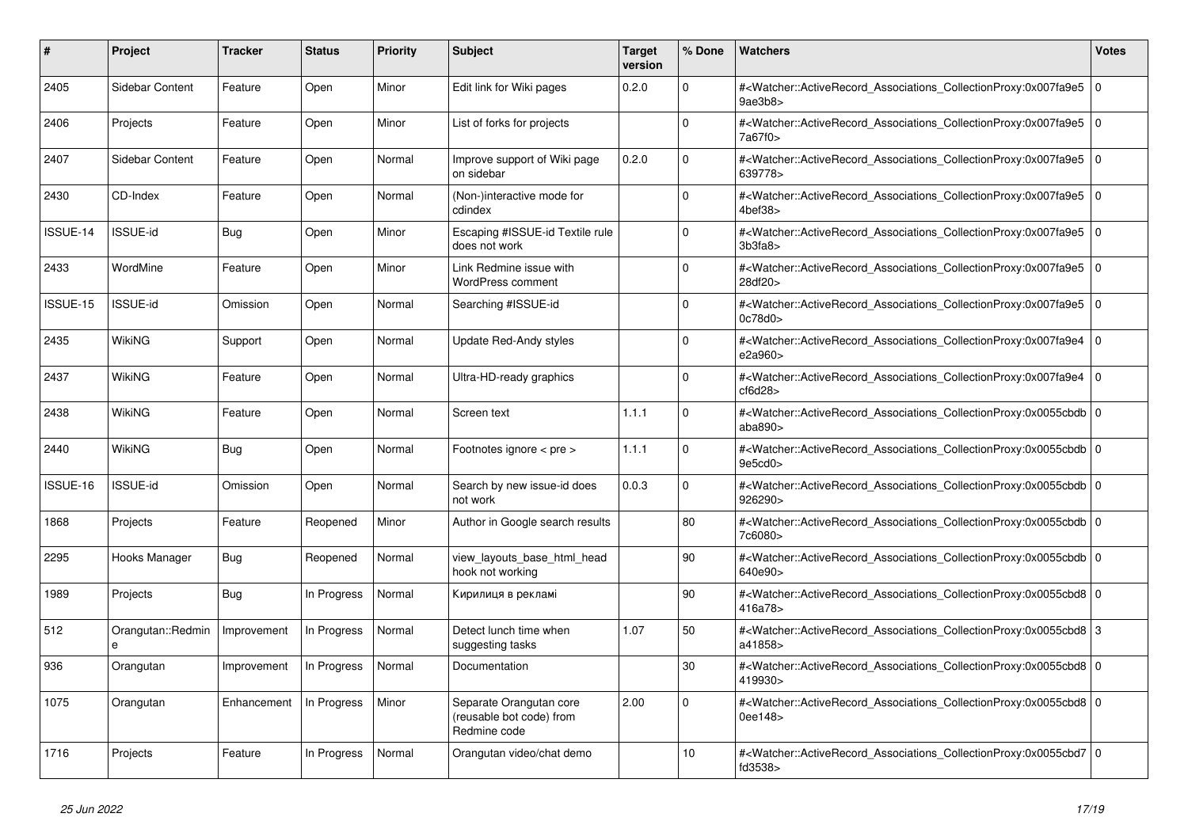| #        | <b>Project</b>         | <b>Tracker</b> | <b>Status</b> | <b>Priority</b> | <b>Subject</b>                                                      | <b>Target</b><br>version | % Done      | <b>Watchers</b>                                                                                                                                                         | <b>Votes</b> |
|----------|------------------------|----------------|---------------|-----------------|---------------------------------------------------------------------|--------------------------|-------------|-------------------------------------------------------------------------------------------------------------------------------------------------------------------------|--------------|
| 2405     | Sidebar Content        | Feature        | Open          | Minor           | Edit link for Wiki pages                                            | 0.2.0                    | $\Omega$    | # <watcher::activerecord_associations_collectionproxy:0x007fa9e5<br>9ae3b8&gt;</watcher::activerecord_associations_collectionproxy:0x007fa9e5<br>                       | I٥           |
| 2406     | Projects               | Feature        | Open          | Minor           | List of forks for projects                                          |                          | $\Omega$    | # <watcher::activerecord_associations_collectionproxy:0x007fa9e5 0<br=""  ="">7a67f0&gt;</watcher::activerecord_associations_collectionproxy:0x007fa9e5>                |              |
| 2407     | Sidebar Content        | Feature        | Open          | Normal          | Improve support of Wiki page<br>on sidebar                          | 0.2.0                    | $\Omega$    | # <watcher::activerecord 0<br="" associations="" collectionproxy:0x007fa9e5=""  ="">639778&gt;</watcher::activerecord>                                                  |              |
| 2430     | CD-Index               | Feature        | Open          | Normal          | (Non-)interactive mode for<br>cdindex                               |                          | $\Omega$    | # <watcher::activerecord_associations_collectionproxy:0x007fa9e5<br><math>4</math>bef<math>38</math></watcher::activerecord_associations_collectionproxy:0x007fa9e5<br> | l o          |
| ISSUE-14 | <b>ISSUE-id</b>        | Bug            | Open          | Minor           | Escaping #ISSUE-id Textile rule<br>does not work                    |                          | $\Omega$    | # <watcher::activerecord_associations_collectionproxy:0x007fa9e5 0<br=""  ="">3b3fa8</watcher::activerecord_associations_collectionproxy:0x007fa9e5>                    |              |
| 2433     | WordMine               | Feature        | Open          | Minor           | Link Redmine issue with<br>WordPress comment                        |                          | $\Omega$    | # <watcher::activerecord 0<br="" associations="" collectionproxy:0x007fa9e5=""  ="">28df20&gt;</watcher::activerecord>                                                  |              |
| ISSUE-15 | <b>ISSUE-id</b>        | Omission       | Open          | Normal          | Searching #ISSUE-id                                                 |                          | $\Omega$    | # <watcher::activerecord associations="" collectionproxy:0x007fa9e5<br="">0c78d0&gt;</watcher::activerecord>                                                            | l 0          |
| 2435     | WikiNG                 | Support        | Open          | Normal          | <b>Update Red-Andy styles</b>                                       |                          | $\Omega$    | # <watcher::activerecord_associations_collectionproxy:0x007fa9e4 0<br=""  ="">e2a960&gt;</watcher::activerecord_associations_collectionproxy:0x007fa9e4>                |              |
| 2437     | <b>WikiNG</b>          | Feature        | Open          | Normal          | Ultra-HD-ready graphics                                             |                          | $\mathbf 0$ | # <watcher::activerecord_associations_collectionproxy:0x007fa9e4 0<br=""  ="">cf6d28</watcher::activerecord_associations_collectionproxy:0x007fa9e4>                    |              |
| 2438     | WikiNG                 | Feature        | Open          | Normal          | Screen text                                                         | 1.1.1                    | $\Omega$    | # <watcher::activerecord_associations_collectionproxy:0x0055cbdb 0<br="">abab890&gt;</watcher::activerecord_associations_collectionproxy:0x0055cbdb>                    |              |
| 2440     | WikiNG                 | <b>Bug</b>     | Open          | Normal          | Footnotes ignore < pre >                                            | 1.1.1                    | $\Omega$    | # <watcher::activerecord_associations_collectionproxy:0x0055cbdb 0<br=""  ="">9e5cd0</watcher::activerecord_associations_collectionproxy:0x0055cbdb>                    |              |
| ISSUE-16 | ISSUE-id               | Omission       | Open          | Normal          | Search by new issue-id does<br>not work                             | 0.0.3                    | $\Omega$    | # <watcher::activerecord 0<br="" associations="" collectionproxy:0x0055cbdb=""  ="">926290&gt;</watcher::activerecord>                                                  |              |
| 1868     | Projects               | Feature        | Reopened      | Minor           | Author in Google search results                                     |                          | 80          | # <watcher::activerecord 0<br="" associations="" collectionproxy:0x0055cbdb=""  ="">7c6080&gt;</watcher::activerecord>                                                  |              |
| 2295     | Hooks Manager          | <b>Bug</b>     | Reopened      | Normal          | view_layouts_base_html_head<br>hook not working                     |                          | 90          | # <watcher::activerecord_associations_collectionproxy:0x0055cbdb 0<br=""  ="">640e90&gt;</watcher::activerecord_associations_collectionproxy:0x0055cbdb>                |              |
| 1989     | Projects               | Bug            | In Progress   | Normal          | Кирилиця в рекламі                                                  |                          | 90          | # <watcher::activerecord_associations_collectionproxy:0x0055cbd8 0<br=""  ="">416a78&gt;</watcher::activerecord_associations_collectionproxy:0x0055cbd8>                |              |
| 512      | Orangutan::Redmin<br>e | Improvement    | In Progress   | Normal          | Detect lunch time when<br>suggesting tasks                          | 1.07                     | 50          | # <watcher::activerecord_associations_collectionproxy:0x0055cbd8 3<br="">a41858&gt;</watcher::activerecord_associations_collectionproxy:0x0055cbd8>                     |              |
| 936      | Orangutan              | Improvement    | In Progress   | Normal          | Documentation                                                       |                          | 30          | # <watcher::activerecord_associations_collectionproxy:0x0055cbd8 0<br=""  ="">419930&gt;</watcher::activerecord_associations_collectionproxy:0x0055cbd8>                |              |
| 1075     | Orangutan              | Enhancement    | In Progress   | Minor           | Separate Orangutan core<br>(reusable bot code) from<br>Redmine code | 2.00                     | $\Omega$    | # <watcher::activerecord_associations_collectionproxy:0x0055cbd8 0<br=""  ="">0ee148&gt;</watcher::activerecord_associations_collectionproxy:0x0055cbd8>                |              |
| 1716     | Projects               | Feature        | In Progress   | Normal          | Orangutan video/chat demo                                           |                          | 10          | # <watcher::activerecord_associations_collectionproxy:0x0055cbd7 0<br=""  ="">fd3538&gt;</watcher::activerecord_associations_collectionproxy:0x0055cbd7>                |              |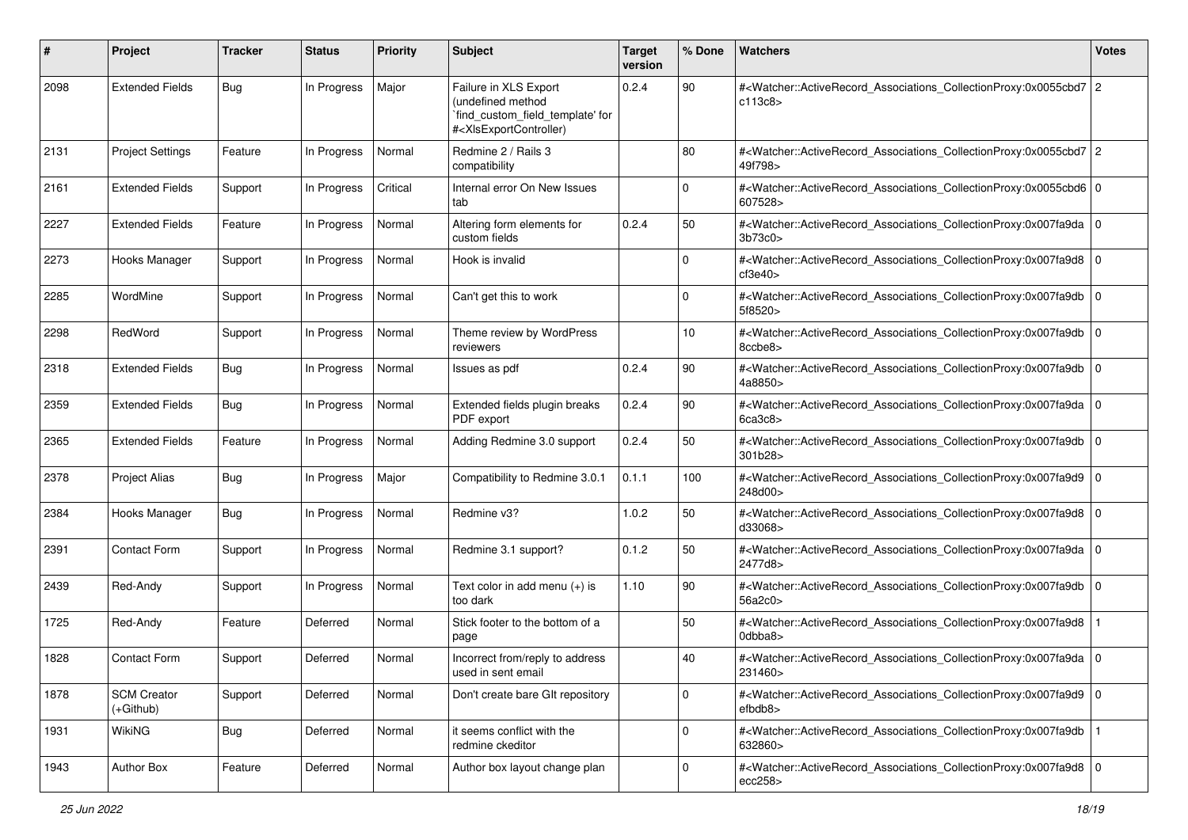| #    | Project                         | <b>Tracker</b> | <b>Status</b> | <b>Priority</b> | <b>Subject</b>                                                                                                                                                                                                                                                                                                                         | <b>Target</b><br>version | % Done      | <b>Watchers</b>                                                                                                                                          | <b>Votes</b> |
|------|---------------------------------|----------------|---------------|-----------------|----------------------------------------------------------------------------------------------------------------------------------------------------------------------------------------------------------------------------------------------------------------------------------------------------------------------------------------|--------------------------|-------------|----------------------------------------------------------------------------------------------------------------------------------------------------------|--------------|
| 2098 | <b>Extended Fields</b>          | Bug            | In Progress   | Major           | Failure in XLS Export<br>(undefined method<br>`find_custom_field_template' for<br># <xisexportcontroller)< td=""><td>0.2.4</td><td>90</td><td>#<watcher::activerecord_associations_collectionproxy:0x0055cbd7 2<br="">c113c8&gt;</watcher::activerecord_associations_collectionproxy:0x0055cbd7></td><td></td></xisexportcontroller)<> | 0.2.4                    | 90          | # <watcher::activerecord_associations_collectionproxy:0x0055cbd7 2<br="">c113c8&gt;</watcher::activerecord_associations_collectionproxy:0x0055cbd7>      |              |
| 2131 | <b>Project Settings</b>         | Feature        | In Progress   | Normal          | Redmine 2 / Rails 3<br>compatibility                                                                                                                                                                                                                                                                                                   |                          | 80          | # <watcher::activerecord_associations_collectionproxy:0x0055cbd7 2<br="">49f798&gt;</watcher::activerecord_associations_collectionproxy:0x0055cbd7>      |              |
| 2161 | <b>Extended Fields</b>          | Support        | In Progress   | Critical        | Internal error On New Issues<br>tab                                                                                                                                                                                                                                                                                                    |                          | $\mathbf 0$ | # <watcher::activerecord_associations_collectionproxy:0x0055cbd6 0<br="">607528&gt;</watcher::activerecord_associations_collectionproxy:0x0055cbd6>      |              |
| 2227 | <b>Extended Fields</b>          | Feature        | In Progress   | Normal          | Altering form elements for<br>custom fields                                                                                                                                                                                                                                                                                            | 0.2.4                    | 50          | # <watcher::activerecord_associations_collectionproxy:0x007fa9da 0<br=""  ="">3b73c0</watcher::activerecord_associations_collectionproxy:0x007fa9da>     |              |
| 2273 | Hooks Manager                   | Support        | In Progress   | Normal          | Hook is invalid                                                                                                                                                                                                                                                                                                                        |                          | 0           | # <watcher::activerecord_associations_collectionproxy:0x007fa9d8 0<br=""  ="">cf3e40&gt;</watcher::activerecord_associations_collectionproxy:0x007fa9d8> |              |
| 2285 | WordMine                        | Support        | In Progress   | Normal          | Can't get this to work                                                                                                                                                                                                                                                                                                                 |                          | 0           | # <watcher::activerecord_associations_collectionproxy:0x007fa9db 0<br="">5f8520&gt;</watcher::activerecord_associations_collectionproxy:0x007fa9db>      |              |
| 2298 | RedWord                         | Support        | In Progress   | Normal          | Theme review by WordPress<br>reviewers                                                                                                                                                                                                                                                                                                 |                          | 10          | # <watcher::activerecord_associations_collectionproxy:0x007fa9db 0<br=""  ="">8ccbe8&gt;</watcher::activerecord_associations_collectionproxy:0x007fa9db> |              |
| 2318 | <b>Extended Fields</b>          | <b>Bug</b>     | In Progress   | Normal          | Issues as pdf                                                                                                                                                                                                                                                                                                                          | 0.2.4                    | 90          | # <watcher::activerecord_associations_collectionproxy:0x007fa9db 0<br=""  ="">4a8850&gt;</watcher::activerecord_associations_collectionproxy:0x007fa9db> |              |
| 2359 | <b>Extended Fields</b>          | Bug            | In Progress   | Normal          | Extended fields plugin breaks<br>PDF export                                                                                                                                                                                                                                                                                            | 0.2.4                    | 90          | # <watcher::activerecord_associations_collectionproxy:0x007fa9da 0<br="">6ca3c8</watcher::activerecord_associations_collectionproxy:0x007fa9da>          |              |
| 2365 | <b>Extended Fields</b>          | Feature        | In Progress   | Normal          | Adding Redmine 3.0 support                                                                                                                                                                                                                                                                                                             | 0.2.4                    | 50          | # <watcher::activerecord_associations_collectionproxy:0x007fa9db 0<br=""  ="">301b28&gt;</watcher::activerecord_associations_collectionproxy:0x007fa9db> |              |
| 2378 | <b>Project Alias</b>            | Bug            | In Progress   | Major           | Compatibility to Redmine 3.0.1                                                                                                                                                                                                                                                                                                         | 0.1.1                    | 100         | # <watcher::activerecord_associations_collectionproxy:0x007fa9d9 0<br=""  ="">248d00&gt;</watcher::activerecord_associations_collectionproxy:0x007fa9d9> |              |
| 2384 | Hooks Manager                   | Bug            | In Progress   | Normal          | Redmine v3?                                                                                                                                                                                                                                                                                                                            | 1.0.2                    | 50          | # <watcher::activerecord_associations_collectionproxy:0x007fa9d8 0<br=""  ="">d33068&gt;</watcher::activerecord_associations_collectionproxy:0x007fa9d8> |              |
| 2391 | <b>Contact Form</b>             | Support        | In Progress   | Normal          | Redmine 3.1 support?                                                                                                                                                                                                                                                                                                                   | 0.1.2                    | 50          | # <watcher::activerecord_associations_collectionproxy:0x007fa9da 0<br=""  ="">2477d8&gt;</watcher::activerecord_associations_collectionproxy:0x007fa9da> |              |
| 2439 | Red-Andy                        | Support        | In Progress   | Normal          | Text color in add menu (+) is<br>too dark                                                                                                                                                                                                                                                                                              | 1.10                     | 90          | # <watcher::activerecord_associations_collectionproxy:0x007fa9db 0<br="">56a2c0&gt;</watcher::activerecord_associations_collectionproxy:0x007fa9db>      |              |
| 1725 | Red-Andy                        | Feature        | Deferred      | Normal          | Stick footer to the bottom of a<br>page                                                                                                                                                                                                                                                                                                |                          | 50          | # <watcher::activerecord_associations_collectionproxy:0x007fa9d8<br>0dbba8&gt;</watcher::activerecord_associations_collectionproxy:0x007fa9d8<br>        |              |
| 1828 | <b>Contact Form</b>             | Support        | Deferred      | Normal          | Incorrect from/reply to address<br>used in sent email                                                                                                                                                                                                                                                                                  |                          | 40          | # <watcher::activerecord_associations_collectionproxy:0x007fa9da 0<br="">231460&gt;</watcher::activerecord_associations_collectionproxy:0x007fa9da>      |              |
| 1878 | <b>SCM Creator</b><br>(+Github) | Support        | Deferred      | Normal          | Don't create bare GIt repository                                                                                                                                                                                                                                                                                                       |                          | $\mathbf 0$ | # <watcher::activerecord_associations_collectionproxy:0x007fa9d9 0<br=""  ="">efbdb8&gt;</watcher::activerecord_associations_collectionproxy:0x007fa9d9> |              |
| 1931 | WikiNG                          | <b>Bug</b>     | Deferred      | Normal          | it seems conflict with the<br>redmine ckeditor                                                                                                                                                                                                                                                                                         |                          | $\mathbf 0$ | # <watcher::activerecord associations="" collectionproxy:0x007fa9db<br="">632860&gt;</watcher::activerecord>                                             |              |
| 1943 | Author Box                      | Feature        | Deferred      | Normal          | Author box layout change plan                                                                                                                                                                                                                                                                                                          |                          | 0           | # <watcher::activerecord 0<br="" associations="" collectionproxy:0x007fa9d8="">ecc258</watcher::activerecord>                                            |              |